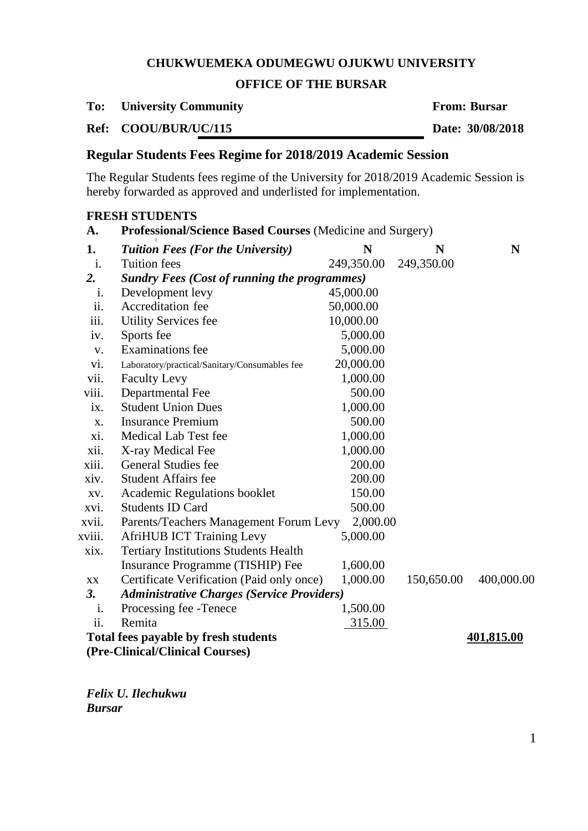## **OFFICE OF THE BURSAR**

**To: University Community From: Bursar**

**Ref: COOU/BUR/UC/115 Date: 30/08/2018**

**FRESH STUDENTS**

# **Regular Students Fees Regime for 2018/2019 Academic Session**

The Regular Students fees regime of the University for 2018/2019 Academic Session is hereby forwarded as approved and underlisted for implementation.

| A.             | Professional/Science Based Courses (Medicine and Surgery) |            |            |            |  |
|----------------|-----------------------------------------------------------|------------|------------|------------|--|
| 1.             | <b>Tuition Fees (For the University)</b>                  | N          | N          | N          |  |
| $\mathbf{i}$ . | <b>Tuition fees</b>                                       | 249,350.00 | 249,350.00 |            |  |
| 2.             | <b>Sundry Fees (Cost of running the programmes)</b>       |            |            |            |  |
| 1.             | Development levy                                          | 45,000.00  |            |            |  |
| ii.            | Accreditation fee                                         | 50,000.00  |            |            |  |
| iii.           | <b>Utility Services fee</b>                               | 10,000.00  |            |            |  |
| iv.            | Sports fee                                                | 5,000.00   |            |            |  |
| V.             | <b>Examinations</b> fee                                   | 5,000.00   |            |            |  |
| vi.            | Laboratory/practical/Sanitary/Consumables fee             | 20,000.00  |            |            |  |
| vii.           | <b>Faculty Levy</b>                                       | 1,000.00   |            |            |  |
| viii.          | Departmental Fee                                          | 500.00     |            |            |  |
| ix.            | <b>Student Union Dues</b>                                 | 1,000.00   |            |            |  |
| X.             | <b>Insurance Premium</b>                                  | 500.00     |            |            |  |
| xi.            | Medical Lab Test fee                                      | 1,000.00   |            |            |  |
| xii.           | X-ray Medical Fee                                         | 1,000.00   |            |            |  |
| xiii.          | <b>General Studies fee</b>                                | 200.00     |            |            |  |
| xiv.           | <b>Student Affairs fee</b>                                | 200.00     |            |            |  |
| XV.            | Academic Regulations booklet                              | 150.00     |            |            |  |
| xvi.           | <b>Students ID Card</b>                                   | 500.00     |            |            |  |
| xvii.          | Parents/Teachers Management Forum Levy                    | 2,000.00   |            |            |  |
| xviii.         | <b>AfriHUB ICT Training Levy</b>                          | 5,000.00   |            |            |  |
| xix.           | <b>Tertiary Institutions Students Health</b>              |            |            |            |  |
|                | Insurance Programme (TISHIP) Fee                          | 1,600.00   |            |            |  |
| XX.            | Certificate Verification (Paid only once)                 | 1,000.00   | 150,650.00 | 400,000.00 |  |
| 3.             | <b>Administrative Charges (Service Providers)</b>         |            |            |            |  |
| i.             | Processing fee -Tenece                                    | 1,500.00   |            |            |  |
| ii.            | Remita                                                    | 315.00     |            |            |  |
|                | Total fees payable by fresh students                      |            |            | 401,815.00 |  |
|                | (Pre-Clinical/Clinical Courses)                           |            |            |            |  |

*Felix U. Ilechukwu Bursar*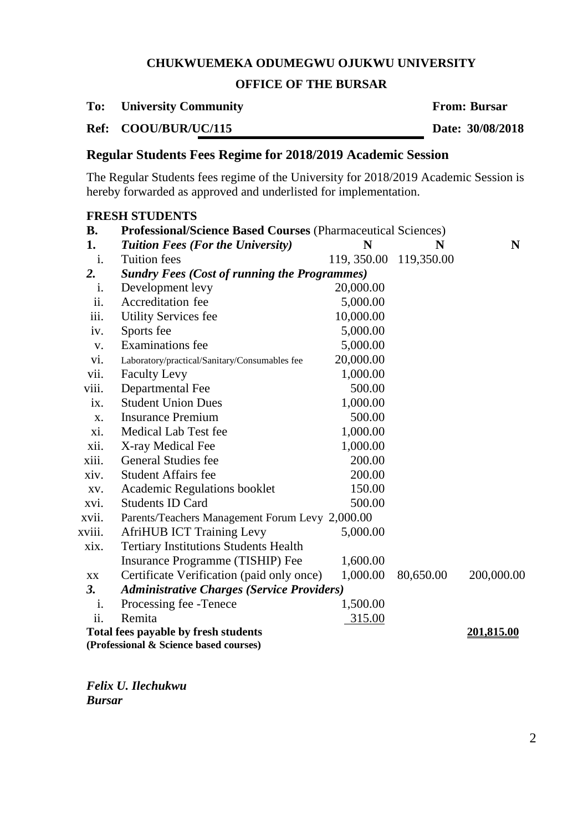## **OFFICE OF THE BURSAR**

**To: University Community From: Bursar**

**Ref: COOU/BUR/UC/115 Date: 30/08/2018**

# **Regular Students Fees Regime for 2018/2019 Academic Session**

The Regular Students fees regime of the University for 2018/2019 Academic Session is hereby forwarded as approved and underlisted for implementation.

|                | <b>FRESH STUDENTS</b>                                               |             |            |            |  |  |
|----------------|---------------------------------------------------------------------|-------------|------------|------------|--|--|
| <b>B.</b>      | <b>Professional/Science Based Courses (Pharmaceutical Sciences)</b> |             |            |            |  |  |
| 1.             | <b>Tuition Fees (For the University)</b>                            | N           | N          | N          |  |  |
| i.             | <b>Tuition fees</b>                                                 | 119, 350.00 | 119,350.00 |            |  |  |
| 2.             | <b>Sundry Fees (Cost of running the Programmes)</b>                 |             |            |            |  |  |
| $\mathbf{1}$ . | Development levy                                                    | 20,000.00   |            |            |  |  |
| ii.            | Accreditation fee                                                   | 5,000.00    |            |            |  |  |
| iii.           | <b>Utility Services fee</b>                                         | 10,000.00   |            |            |  |  |
| iv.            | Sports fee                                                          | 5,000.00    |            |            |  |  |
| V.             | <b>Examinations</b> fee                                             | 5,000.00    |            |            |  |  |
| vi.            | Laboratory/practical/Sanitary/Consumables fee                       | 20,000.00   |            |            |  |  |
| vii.           | <b>Faculty Levy</b>                                                 | 1,000.00    |            |            |  |  |
| viii.          | Departmental Fee                                                    | 500.00      |            |            |  |  |
| 1X.            | <b>Student Union Dues</b>                                           | 1,000.00    |            |            |  |  |
| X.             | <b>Insurance Premium</b>                                            | 500.00      |            |            |  |  |
| xi.            | Medical Lab Test fee                                                | 1,000.00    |            |            |  |  |
| xii.           | X-ray Medical Fee                                                   | 1,000.00    |            |            |  |  |
| xiii.          | <b>General Studies fee</b>                                          | 200.00      |            |            |  |  |
| xiv.           | <b>Student Affairs fee</b>                                          | 200.00      |            |            |  |  |
| XV.            | <b>Academic Regulations booklet</b>                                 | 150.00      |            |            |  |  |
| xvi.           | <b>Students ID Card</b>                                             | 500.00      |            |            |  |  |
| xvii.          | Parents/Teachers Management Forum Levy 2,000.00                     |             |            |            |  |  |
| xviii.         | <b>AfriHUB ICT Training Levy</b>                                    | 5,000.00    |            |            |  |  |
| xix.           | <b>Tertiary Institutions Students Health</b>                        |             |            |            |  |  |
|                | Insurance Programme (TISHIP) Fee                                    | 1,600.00    |            |            |  |  |
| XX             | Certificate Verification (paid only once)                           | 1,000.00    | 80,650.00  | 200,000.00 |  |  |
| 3.             | <b>Administrative Charges (Service Providers)</b>                   |             |            |            |  |  |
| 1.             | Processing fee - Tenece                                             | 1,500.00    |            |            |  |  |
| ii.            | Remita                                                              | 315.00      |            |            |  |  |
|                | Total fees payable by fresh students<br><u>201,815.00</u>           |             |            |            |  |  |
|                | (Professional & Science based courses)                              |             |            |            |  |  |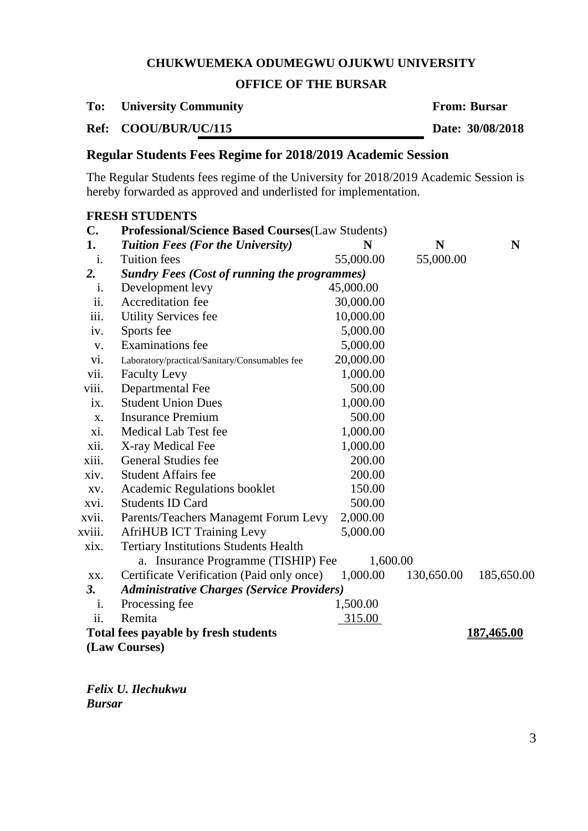## **OFFICE OF THE BURSAR**

**To: University Community From: Bursar**

**Ref: COOU/BUR/UC/115 Date: 30/08/2018**

# **Regular Students Fees Regime for 2018/2019 Academic Session**

The Regular Students fees regime of the University for 2018/2019 Academic Session is hereby forwarded as approved and underlisted for implementation.

|                                                                  | <b>FRESH STUDENTS</b>                                    |           |            |            |  |
|------------------------------------------------------------------|----------------------------------------------------------|-----------|------------|------------|--|
| C.                                                               | <b>Professional/Science Based Courses (Law Students)</b> |           |            |            |  |
| 1.                                                               | <b>Tuition Fees (For the University)</b>                 | N         | N          | N          |  |
| i.                                                               | <b>Tuition</b> fees                                      | 55,000.00 | 55,000.00  |            |  |
| 2.                                                               | <b>Sundry Fees (Cost of running the programmes)</b>      |           |            |            |  |
| i.                                                               | Development levy                                         | 45,000.00 |            |            |  |
| ii.                                                              | Accreditation fee                                        | 30,000.00 |            |            |  |
| iii.                                                             | <b>Utility Services fee</b>                              | 10,000.00 |            |            |  |
| iv.                                                              | Sports fee                                               | 5,000.00  |            |            |  |
| V.                                                               | <b>Examinations</b> fee                                  | 5,000.00  |            |            |  |
| vi.                                                              | Laboratory/practical/Sanitary/Consumables fee            | 20,000.00 |            |            |  |
| vii.                                                             | <b>Faculty Levy</b>                                      | 1,000.00  |            |            |  |
| viii.                                                            | Departmental Fee                                         | 500.00    |            |            |  |
| ix.                                                              | <b>Student Union Dues</b>                                | 1,000.00  |            |            |  |
| X.                                                               | <b>Insurance Premium</b>                                 | 500.00    |            |            |  |
| xi.                                                              | Medical Lab Test fee                                     | 1,000.00  |            |            |  |
| xii.                                                             | X-ray Medical Fee                                        | 1,000.00  |            |            |  |
| xiii.                                                            | General Studies fee                                      | 200.00    |            |            |  |
| xiv.                                                             | <b>Student Affairs fee</b>                               | 200.00    |            |            |  |
| XV.                                                              | <b>Academic Regulations booklet</b>                      | 150.00    |            |            |  |
| xvi.                                                             | <b>Students ID Card</b>                                  | 500.00    |            |            |  |
| xvii.                                                            | Parents/Teachers Managemt Forum Levy                     | 2,000.00  |            |            |  |
| xviii.                                                           | <b>AfriHUB ICT Training Levy</b>                         | 5,000.00  |            |            |  |
| xix.                                                             | <b>Tertiary Institutions Students Health</b>             |           |            |            |  |
|                                                                  | a. Insurance Programme (TISHIP) Fee                      | 1,600.00  |            |            |  |
| XX.                                                              | Certificate Verification (Paid only once)                | 1,000.00  | 130,650.00 | 185,650.00 |  |
| 3.                                                               | <b>Administrative Charges (Service Providers)</b>        |           |            |            |  |
| 1.                                                               | Processing fee                                           | 1,500.00  |            |            |  |
| ii.                                                              | Remita                                                   | 315.00    |            |            |  |
| <b>Total fees payable by fresh students</b><br><u>187,465.00</u> |                                                          |           |            |            |  |
|                                                                  | (Law Courses)                                            |           |            |            |  |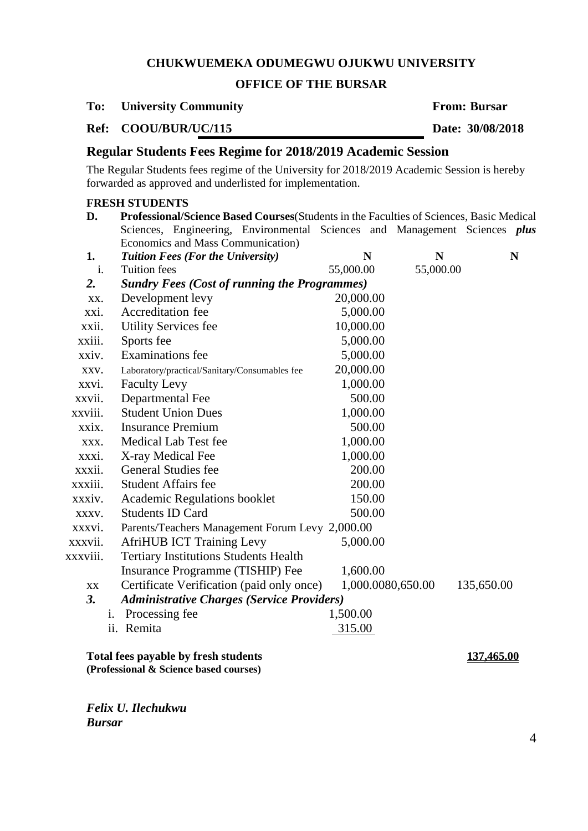#### **OFFICE OF THE BURSAR**

#### **To: University Community From: Bursar**

**Ref: COOU/BUR/UC/115 Date: 30/08/2018**

## **Regular Students Fees Regime for 2018/2019 Academic Session**

The Regular Students fees regime of the University for 2018/2019 Academic Session is hereby forwarded as approved and underlisted for implementation.

# **D. Professional/Science Based Courses**(Students in the Faculties of Sciences, Basic Medical Sciences, Engineering, Environmental Sciences and Management Sciences *plus* Economics and Mass Communication) **1.** *Tuition Fees (For the University)* **N N N** i. Tuition fees 55,000.00 55,000.00 *2. Sundry Fees (Cost of running the Programmes)* xx. Development levy 20,000.00 xxi. Accreditation fee 5,000.00 xxii. Utility Services fee 10,000.00 xxiii. Sports fee 5,000,00 xxiv. Examinations fee 5,000.00 xxv. Laboratory/practical/Sanitary/Consumables fee 20,000.00 xxvi. Faculty Levy 1,000.00 xxvii. Departmental Fee 500.00 xxviii. Student Union Dues 1,000,00 xxix. Insurance Premium 500.00 xxx. Medical Lab Test fee 1,000.00 xxxi. X-ray Medical Fee 1,000.00 xxxii. General Studies fee 200.00 xxxiii. Student Affairs fee 200.00 xxxiv. Academic Regulations booklet 150.00 xxxv. Students ID Card 500.00 xxxvi. Parents/Teachers Management Forum Levy 2,000.00 xxxvii. AfriHUB ICT Training Levy 5,000.00 xxxviii. Tertiary Institutions Students Health Insurance Programme (TISHIP) Fee 1,600.00 xx Certificate Verification (paid only once) 1,000.0080,650.00 135,650.00 *3. Administrative Charges (Service Providers)* i. Processing fee  $1,500.00$ ii. Remita 315.00

**Total fees payable by fresh students 137,465.00 (Professional & Science based courses)**

*Felix U. Ilechukwu Bursar*

4

**FRESH STUDENTS**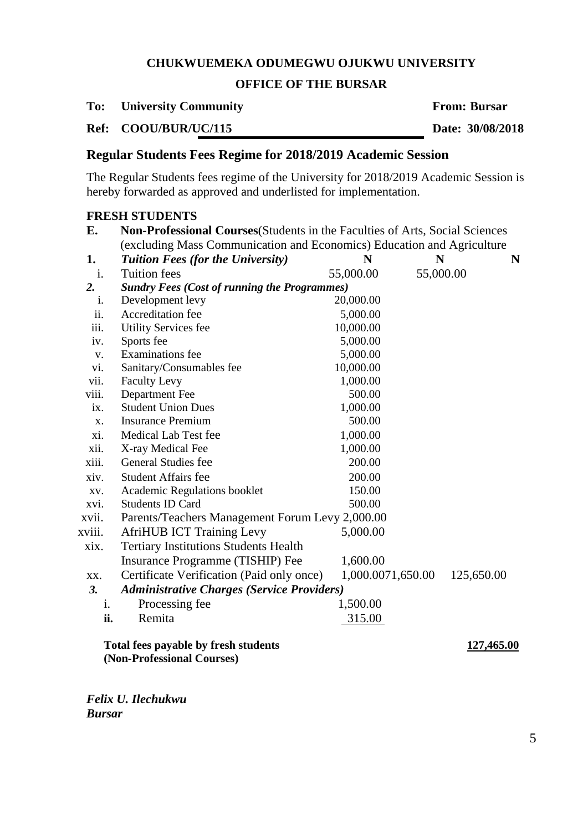# **OFFICE OF THE BURSAR**

**To: University Community From: Bursar**

**Ref: COOU/BUR/UC/115 Date: 30/08/2018**

# **Regular Students Fees Regime for 2018/2019 Academic Session**

The Regular Students fees regime of the University for 2018/2019 Academic Session is hereby forwarded as approved and underlisted for implementation.

# **FRESH STUDENTS**

| E.     | Non-Professional Courses (Students in the Faculties of Arts, Social Sciences<br>(excluding Mass Communication and Economics) Education and Agriculture |                   |           |            |   |  |
|--------|--------------------------------------------------------------------------------------------------------------------------------------------------------|-------------------|-----------|------------|---|--|
| 1.     | <b>Tuition Fees (for the University)</b>                                                                                                               | N                 | N         |            | N |  |
| i.     | <b>Tuition fees</b>                                                                                                                                    | 55,000.00         | 55,000.00 |            |   |  |
| 2.     | <b>Sundry Fees (Cost of running the Programmes)</b>                                                                                                    |                   |           |            |   |  |
| 1.     | Development levy                                                                                                                                       | 20,000.00         |           |            |   |  |
| ii.    | Accreditation fee                                                                                                                                      | 5,000.00          |           |            |   |  |
| iii.   | <b>Utility Services fee</b>                                                                                                                            | 10,000.00         |           |            |   |  |
| iv.    | Sports fee                                                                                                                                             | 5,000.00          |           |            |   |  |
| V.     | <b>Examinations</b> fee                                                                                                                                | 5,000.00          |           |            |   |  |
| vi.    | Sanitary/Consumables fee                                                                                                                               | 10,000.00         |           |            |   |  |
| vii.   | <b>Faculty Levy</b>                                                                                                                                    | 1,000.00          |           |            |   |  |
| viii.  | Department Fee                                                                                                                                         | 500.00            |           |            |   |  |
| ix.    | <b>Student Union Dues</b>                                                                                                                              | 1,000.00          |           |            |   |  |
| X.     | <b>Insurance Premium</b>                                                                                                                               | 500.00            |           |            |   |  |
| xi.    | Medical Lab Test fee                                                                                                                                   | 1,000.00          |           |            |   |  |
| xii.   | X-ray Medical Fee                                                                                                                                      | 1,000.00          |           |            |   |  |
| xiii.  | General Studies fee                                                                                                                                    | 200.00            |           |            |   |  |
| xiv.   | <b>Student Affairs fee</b>                                                                                                                             | 200.00            |           |            |   |  |
| XV.    | Academic Regulations booklet                                                                                                                           | 150.00            |           |            |   |  |
| xvi.   | <b>Students ID Card</b>                                                                                                                                | 500.00            |           |            |   |  |
| xvii.  | Parents/Teachers Management Forum Levy 2,000.00                                                                                                        |                   |           |            |   |  |
| xviii. | <b>AfriHUB ICT Training Levy</b>                                                                                                                       | 5,000.00          |           |            |   |  |
| xix.   | <b>Tertiary Institutions Students Health</b>                                                                                                           |                   |           |            |   |  |
|        | Insurance Programme (TISHIP) Fee                                                                                                                       | 1,600.00          |           |            |   |  |
| XX.    | Certificate Verification (Paid only once)                                                                                                              | 1,000.0071,650.00 |           | 125,650.00 |   |  |
| 3.     | <b>Administrative Charges (Service Providers)</b>                                                                                                      |                   |           |            |   |  |
| i.     | Processing fee                                                                                                                                         | 1,500.00          |           |            |   |  |
| ii.    | Remita                                                                                                                                                 | 315.00            |           |            |   |  |
|        | Total fees payable by fresh students<br>(Non-Professional Courses)                                                                                     |                   |           | 127,465.00 |   |  |

*Felix U. Ilechukwu*

*Bursar*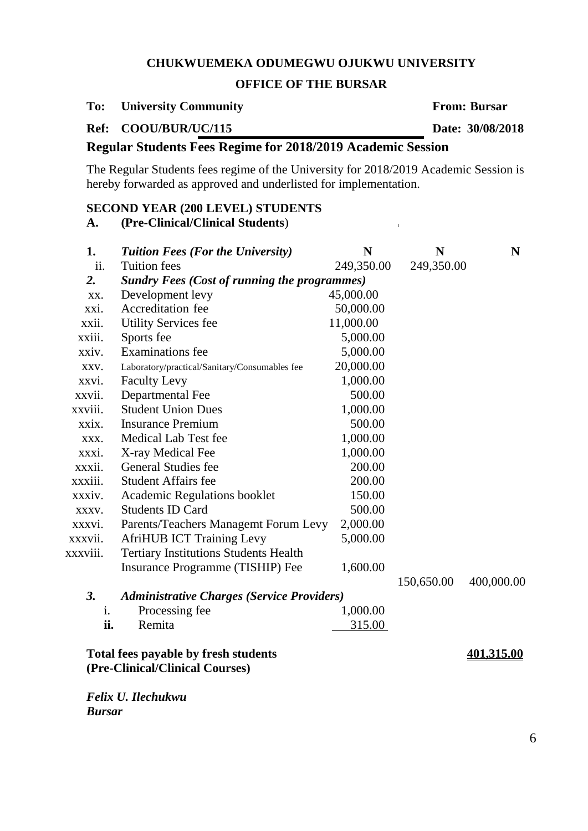## **OFFICE OF THE BURSAR**

# **To: University Community From: Bursar**

**Ref: COOU/BUR/UC/115 Date: 30/08/2018**

# **Regular Students Fees Regime for 2018/2019 Academic Session**

The Regular Students fees regime of the University for 2018/2019 Academic Session is hereby forwarded as approved and underlisted for implementation.

# **SECOND YEAR (200 LEVEL) STUDENTS**

# **A. (Pre-Clinical/Clinical Students**) **[**

| 1.               | <b>Tuition Fees (For the University)</b>                                | N          | N          | N          |
|------------------|-------------------------------------------------------------------------|------------|------------|------------|
| ii.              | <b>Tuition fees</b>                                                     | 249,350.00 | 249,350.00 |            |
| $\overline{2}$ . | <b>Sundry Fees (Cost of running the programmes)</b>                     |            |            |            |
| XX.              | Development levy                                                        | 45,000.00  |            |            |
| xxi.             | Accreditation fee                                                       | 50,000.00  |            |            |
| xxii.            | <b>Utility Services fee</b>                                             | 11,000.00  |            |            |
| xxiii.           | Sports fee                                                              | 5,000.00   |            |            |
| xxiv.            | Examinations fee                                                        | 5,000.00   |            |            |
| XXV.             | Laboratory/practical/Sanitary/Consumables fee                           | 20,000.00  |            |            |
| xxvi.            | <b>Faculty Levy</b>                                                     | 1,000.00   |            |            |
| xxvii.           | Departmental Fee                                                        | 500.00     |            |            |
| xxviii.          | <b>Student Union Dues</b>                                               | 1,000.00   |            |            |
| xxix.            | <b>Insurance Premium</b>                                                | 500.00     |            |            |
| XXX.             | Medical Lab Test fee                                                    | 1,000.00   |            |            |
| xxxi.            | X-ray Medical Fee                                                       | 1,000.00   |            |            |
| xxxii.           | <b>General Studies fee</b>                                              | 200.00     |            |            |
| xxxiii.          | <b>Student Affairs fee</b>                                              | 200.00     |            |            |
| xxxiv.           | <b>Academic Regulations booklet</b>                                     | 150.00     |            |            |
| XXXV.            | <b>Students ID Card</b>                                                 | 500.00     |            |            |
| xxxvi.           | Parents/Teachers Managemt Forum Levy                                    | 2,000.00   |            |            |
| xxxvii.          | <b>AfriHUB ICT Training Levy</b>                                        | 5,000.00   |            |            |
| xxxviii.         | <b>Tertiary Institutions Students Health</b>                            |            |            |            |
|                  | Insurance Programme (TISHIP) Fee                                        | 1,600.00   |            |            |
|                  |                                                                         |            | 150,650.00 | 400,000.00 |
| 3.               | <b>Administrative Charges (Service Providers)</b>                       |            |            |            |
| i.               | Processing fee                                                          | 1,000.00   |            |            |
| ii.              | Remita                                                                  | 315.00     |            |            |
|                  | Total fees payable by fresh students<br>(Pre-Clinical/Clinical Courses) |            |            | 401,315.00 |

*Felix U. Ilechukwu Bursar*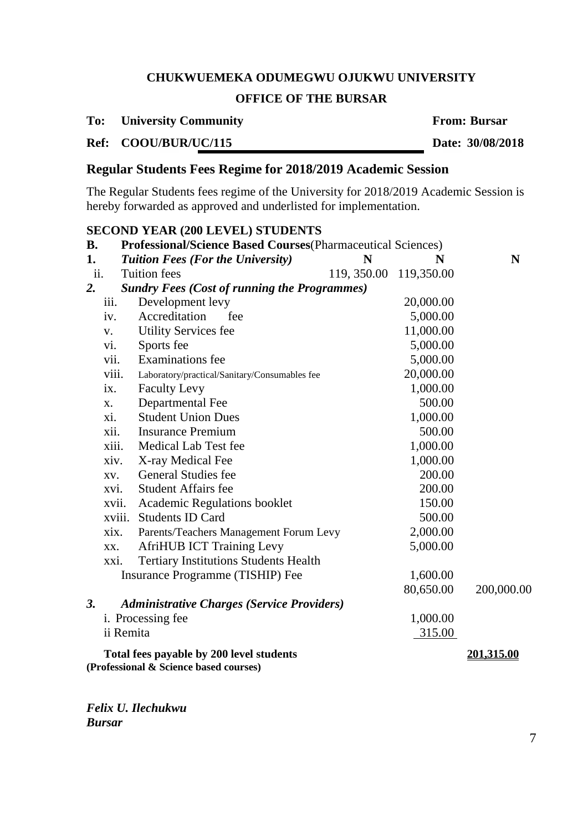# **OFFICE OF THE BURSAR**

# **To: University Community From: Bursar**

# **Ref: COOU/BUR/UC/115 Date: 30/08/2018**

# **Regular Students Fees Regime for 2018/2019 Academic Session**

The Regular Students fees regime of the University for 2018/2019 Academic Session is hereby forwarded as approved and underlisted for implementation.

#### **SECOND YEAR (200 LEVEL) STUDENTS**

| <b>B.</b> | <b>Professional/Science Based Courses</b> (Pharmaceutical Sciences) |                                                                                    |                         |           |                   |
|-----------|---------------------------------------------------------------------|------------------------------------------------------------------------------------|-------------------------|-----------|-------------------|
| 1.        |                                                                     | <b>Tuition Fees (For the University)</b>                                           | N                       | N         | N                 |
| ii.       |                                                                     | <b>Tuition</b> fees                                                                | 119, 350.00 119, 350.00 |           |                   |
| 2.        |                                                                     | <b>Sundry Fees (Cost of running the Programmes)</b>                                |                         |           |                   |
|           | iii.                                                                | Development levy                                                                   |                         | 20,000.00 |                   |
|           | iv.                                                                 | Accreditation<br>fee                                                               |                         | 5,000.00  |                   |
|           | V.                                                                  | <b>Utility Services fee</b>                                                        |                         | 11,000.00 |                   |
|           | vi.                                                                 | Sports fee                                                                         |                         | 5,000.00  |                   |
|           | vii.                                                                | <b>Examinations</b> fee                                                            |                         | 5,000.00  |                   |
|           | viii.                                                               | Laboratory/practical/Sanitary/Consumables fee                                      |                         | 20,000.00 |                   |
|           | ix.                                                                 | <b>Faculty Levy</b>                                                                |                         | 1,000.00  |                   |
|           | X.                                                                  | Departmental Fee                                                                   |                         | 500.00    |                   |
|           | xi.                                                                 | <b>Student Union Dues</b>                                                          |                         | 1,000.00  |                   |
|           | xii.                                                                | <b>Insurance Premium</b>                                                           |                         | 500.00    |                   |
|           | xiii.                                                               | Medical Lab Test fee                                                               |                         | 1,000.00  |                   |
|           | xiv.                                                                | X-ray Medical Fee                                                                  |                         | 1,000.00  |                   |
|           | XV.                                                                 | <b>General Studies fee</b>                                                         |                         | 200.00    |                   |
|           | XVI.                                                                | <b>Student Affairs fee</b>                                                         |                         | 200.00    |                   |
|           | xvii.                                                               | <b>Academic Regulations booklet</b>                                                |                         | 150.00    |                   |
|           |                                                                     | xviii. Students ID Card                                                            |                         | 500.00    |                   |
|           | xix.                                                                | Parents/Teachers Management Forum Levy                                             |                         | 2,000.00  |                   |
|           | XX.                                                                 | <b>AfriHUB ICT Training Levy</b>                                                   |                         | 5,000.00  |                   |
|           | xxi.                                                                | <b>Tertiary Institutions Students Health</b>                                       |                         |           |                   |
|           |                                                                     | Insurance Programme (TISHIP) Fee                                                   |                         | 1,600.00  |                   |
|           |                                                                     |                                                                                    |                         | 80,650.00 | 200,000.00        |
| 3.        |                                                                     | <b>Administrative Charges (Service Providers)</b>                                  |                         |           |                   |
|           |                                                                     | i. Processing fee                                                                  |                         | 1,000.00  |                   |
|           |                                                                     | ii Remita                                                                          |                         | 315.00    |                   |
|           |                                                                     | Total fees payable by 200 level students<br>(Professional & Science based courses) |                         |           | <u>201,315.00</u> |

*Felix U. Ilechukwu Bursar*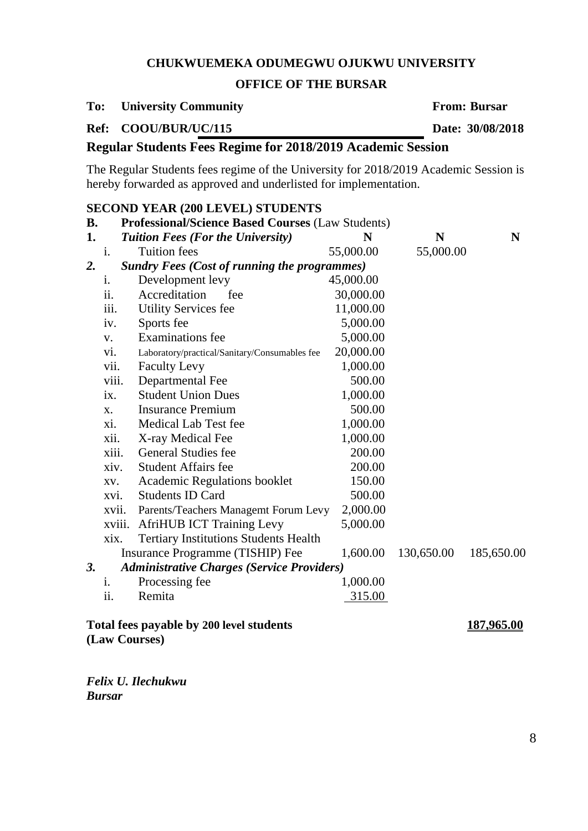## **OFFICE OF THE BURSAR**

## **To: University Community From: Bursar**

**SECOND YEAR (200 LEVEL) STUDENTS**

**Ref: COOU/BUR/UC/115 Date: 30/08/2018**

# **Regular Students Fees Regime for 2018/2019 Academic Session**

The Regular Students fees regime of the University for 2018/2019 Academic Session is hereby forwarded as approved and underlisted for implementation.

| В. | SECOND TEAN (200 LEVEL) STODENTS<br><b>Professional/Science Based Courses (Law Students)</b> |                                                     |           |            |            |  |  |
|----|----------------------------------------------------------------------------------------------|-----------------------------------------------------|-----------|------------|------------|--|--|
| 1. |                                                                                              | <b>Tuition Fees (For the University)</b>            | N         | N          | N          |  |  |
|    | i.                                                                                           | <b>Tuition</b> fees                                 | 55,000.00 | 55,000.00  |            |  |  |
| 2. |                                                                                              | <b>Sundry Fees (Cost of running the programmes)</b> |           |            |            |  |  |
|    | $\mathbf{1}$ .                                                                               | Development levy                                    | 45,000.00 |            |            |  |  |
|    | ii.                                                                                          | Accreditation<br>fee                                | 30,000.00 |            |            |  |  |
|    | iii.                                                                                         | <b>Utility Services fee</b>                         | 11,000.00 |            |            |  |  |
|    | iv.                                                                                          | Sports fee                                          | 5,000.00  |            |            |  |  |
|    | V.                                                                                           | <b>Examinations</b> fee                             | 5,000.00  |            |            |  |  |
|    | vi.                                                                                          | Laboratory/practical/Sanitary/Consumables fee       | 20,000.00 |            |            |  |  |
|    | vii.                                                                                         | <b>Faculty Levy</b>                                 | 1,000.00  |            |            |  |  |
|    | viii.                                                                                        | Departmental Fee                                    | 500.00    |            |            |  |  |
|    | ix.                                                                                          | <b>Student Union Dues</b>                           | 1,000.00  |            |            |  |  |
|    | X.                                                                                           | <b>Insurance Premium</b>                            | 500.00    |            |            |  |  |
|    | xi.                                                                                          | Medical Lab Test fee                                | 1,000.00  |            |            |  |  |
|    | xii.                                                                                         | X-ray Medical Fee                                   | 1,000.00  |            |            |  |  |
|    | xiii.                                                                                        | <b>General Studies fee</b>                          | 200.00    |            |            |  |  |
|    | xiv.                                                                                         | <b>Student Affairs fee</b>                          | 200.00    |            |            |  |  |
|    | XV.                                                                                          | Academic Regulations booklet                        | 150.00    |            |            |  |  |
|    | xvi.                                                                                         | <b>Students ID Card</b>                             | 500.00    |            |            |  |  |
|    | xvii.                                                                                        | Parents/Teachers Managemt Forum Levy                | 2,000.00  |            |            |  |  |
|    | xviii.                                                                                       | <b>AfriHUB ICT Training Levy</b>                    | 5,000.00  |            |            |  |  |
|    | xix.                                                                                         | <b>Tertiary Institutions Students Health</b>        |           |            |            |  |  |
|    |                                                                                              | Insurance Programme (TISHIP) Fee                    | 1,600.00  | 130,650.00 | 185,650.00 |  |  |
| 3. |                                                                                              | <b>Administrative Charges (Service Providers)</b>   |           |            |            |  |  |
|    | 1.                                                                                           | Processing fee                                      | 1,000.00  |            |            |  |  |
|    | ii.                                                                                          | Remita                                              | 315.00    |            |            |  |  |
|    | Total fees payable by 200 level students<br>187,965.00                                       |                                                     |           |            |            |  |  |

**(Law Courses)**

*Felix U. Ilechukwu*

*Bursar*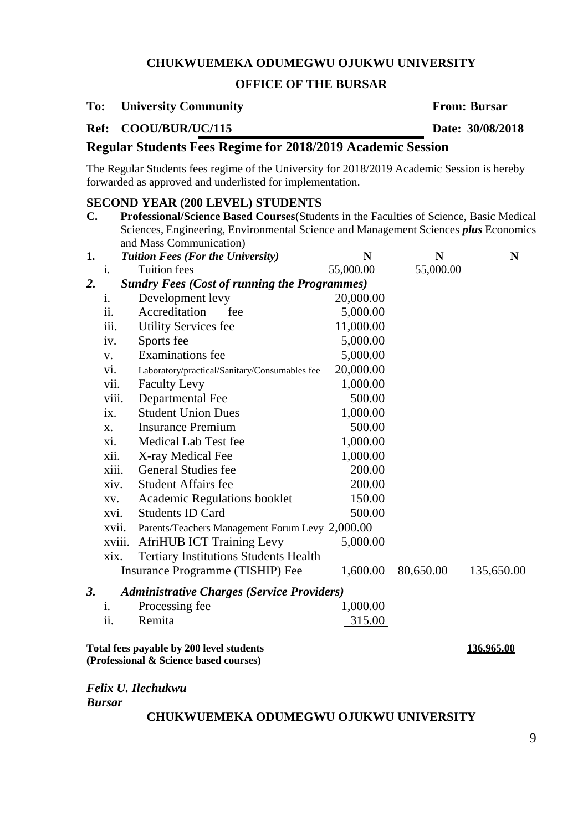#### **OFFICE OF THE BURSAR**

### **To: University Community From: Bursar**

### **Ref: COOU/BUR/UC/115 Date: 30/08/2018**

# **Regular Students Fees Regime for 2018/2019 Academic Session**

The Regular Students fees regime of the University for 2018/2019 Academic Session is hereby forwarded as approved and underlisted for implementation.

#### **SECOND YEAR (200 LEVEL) STUDENTS**

**C. Professional/Science Based Courses**(Students in the Faculties of Science, Basic Medical Sciences, Engineering, Environmental Science and Management Sciences *plus* Economics and Mass Communication)

| 1. |        | <b>Tuition Fees (For the University)</b>            | N         | N         | N          |
|----|--------|-----------------------------------------------------|-----------|-----------|------------|
|    | i.     | <b>Tuition fees</b>                                 | 55,000.00 | 55,000.00 |            |
| 2. |        | <b>Sundry Fees (Cost of running the Programmes)</b> |           |           |            |
|    | 1.     | Development levy                                    | 20,000.00 |           |            |
|    | ii.    | Accreditation<br>fee                                | 5,000.00  |           |            |
|    | iii.   | <b>Utility Services fee</b>                         | 11,000.00 |           |            |
|    | iv.    | Sports fee                                          | 5,000.00  |           |            |
|    | V.     | <b>Examinations</b> fee                             | 5,000.00  |           |            |
|    | vi.    | Laboratory/practical/Sanitary/Consumables fee       | 20,000.00 |           |            |
|    | vii.   | <b>Faculty Levy</b>                                 | 1,000.00  |           |            |
|    | viii.  | Departmental Fee                                    | 500.00    |           |            |
|    | ix.    | <b>Student Union Dues</b>                           | 1,000.00  |           |            |
|    | X.     | <b>Insurance Premium</b>                            | 500.00    |           |            |
|    | Xi.    | Medical Lab Test fee                                | 1,000.00  |           |            |
|    | xii.   | X-ray Medical Fee                                   | 1,000.00  |           |            |
|    | xiii.  | General Studies fee                                 | 200.00    |           |            |
|    | xiv.   | <b>Student Affairs fee</b>                          | 200.00    |           |            |
|    | XV.    | <b>Academic Regulations booklet</b>                 | 150.00    |           |            |
|    | xvi.   | <b>Students ID Card</b>                             | 500.00    |           |            |
|    | xvii.  | Parents/Teachers Management Forum Levy 2,000.00     |           |           |            |
|    | xviii. | <b>AfriHUB ICT Training Levy</b>                    | 5,000.00  |           |            |
|    | xix.   | <b>Tertiary Institutions Students Health</b>        |           |           |            |
|    |        | Insurance Programme (TISHIP) Fee                    | 1,600.00  | 80,650.00 | 135,650.00 |
| 3. |        | <b>Administrative Charges (Service Providers)</b>   |           |           |            |
|    | 1.     | Processing fee                                      | 1,000.00  |           |            |
|    | ii.    | Remita                                              | 315.00    |           |            |
|    |        | $\bullet$ $\bullet$ $\bullet$                       |           |           |            |

**Total fees payable by 200 level students 136,965.00 (Professional & Science based courses)**

*Felix U. Ilechukwu*

*Bursar*

#### **CHUKWUEMEKA ODUMEGWU OJUKWU UNIVERSITY**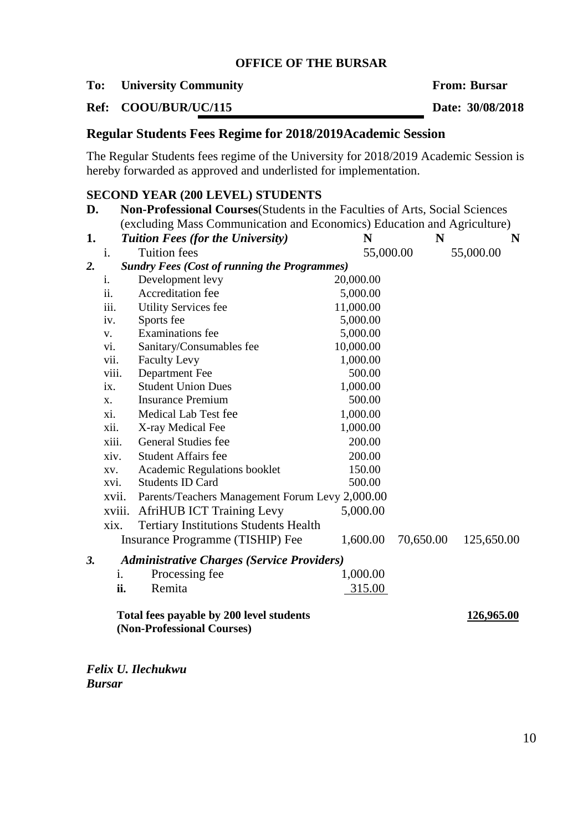## **OFFICE OF THE BURSAR**

# **To: University Community From: Bursar**

# **Ref: COOU/BUR/UC/115 Date: 30/08/2018**

# **Regular Students Fees Regime for 2018/2019Academic Session**

The Regular Students fees regime of the University for 2018/2019 Academic Session is hereby forwarded as approved and underlisted for implementation.

# **SECOND YEAR (200 LEVEL) STUDENTS**

| D.               |                                                                         | Non-Professional Courses (Students in the Faculties of Arts, Social Sciences |           |           |            |  |
|------------------|-------------------------------------------------------------------------|------------------------------------------------------------------------------|-----------|-----------|------------|--|
|                  | (excluding Mass Communication and Economics) Education and Agriculture) |                                                                              |           |           |            |  |
| 1.               |                                                                         | <b>Tuition Fees (for the University)</b>                                     | N         | N         | N          |  |
|                  | i.                                                                      | <b>Tuition</b> fees                                                          | 55,000.00 |           | 55,000.00  |  |
| $\overline{2}$ . |                                                                         | <b>Sundry Fees (Cost of running the Programmes)</b>                          |           |           |            |  |
|                  | i.                                                                      | Development levy                                                             | 20,000.00 |           |            |  |
|                  | ii.                                                                     | Accreditation fee                                                            | 5,000.00  |           |            |  |
|                  | iii.                                                                    | <b>Utility Services fee</b>                                                  | 11,000.00 |           |            |  |
|                  | iv.                                                                     | Sports fee                                                                   | 5,000.00  |           |            |  |
|                  | V.                                                                      | <b>Examinations</b> fee                                                      | 5,000.00  |           |            |  |
|                  | vi.                                                                     | Sanitary/Consumables fee                                                     | 10,000.00 |           |            |  |
|                  | vii.                                                                    | <b>Faculty Levy</b>                                                          | 1,000.00  |           |            |  |
|                  | viii.                                                                   | Department Fee                                                               | 500.00    |           |            |  |
|                  | ix.                                                                     | <b>Student Union Dues</b>                                                    | 1,000.00  |           |            |  |
|                  | X.                                                                      | <b>Insurance Premium</b>                                                     | 500.00    |           |            |  |
|                  | xi.                                                                     | Medical Lab Test fee                                                         | 1,000.00  |           |            |  |
|                  | xii.                                                                    | X-ray Medical Fee                                                            | 1,000.00  |           |            |  |
|                  | xiii.                                                                   | General Studies fee                                                          | 200.00    |           |            |  |
|                  | xiv.                                                                    | <b>Student Affairs fee</b>                                                   | 200.00    |           |            |  |
|                  | XV.                                                                     | <b>Academic Regulations booklet</b>                                          | 150.00    |           |            |  |
|                  | xvi.                                                                    | <b>Students ID Card</b>                                                      | 500.00    |           |            |  |
|                  | xvii.                                                                   | Parents/Teachers Management Forum Levy 2,000.00                              |           |           |            |  |
|                  | xviii.                                                                  | <b>AfriHUB ICT Training Levy</b>                                             | 5,000.00  |           |            |  |
|                  | xix.                                                                    | <b>Tertiary Institutions Students Health</b>                                 |           |           |            |  |
|                  |                                                                         | Insurance Programme (TISHIP) Fee                                             | 1,600.00  | 70,650.00 | 125,650.00 |  |
| 3.               |                                                                         | <b>Administrative Charges (Service Providers)</b>                            |           |           |            |  |
|                  | i.                                                                      | Processing fee                                                               | 1,000.00  |           |            |  |
|                  | ii.                                                                     | Remita                                                                       | 315.00    |           |            |  |
|                  |                                                                         | Total fees payable by 200 level students<br>(Non-Professional Courses)       |           |           | 126,965.00 |  |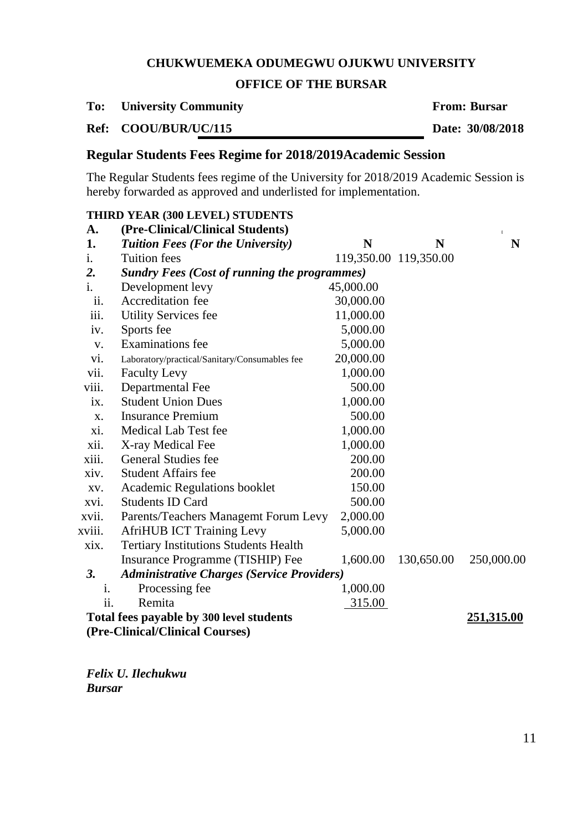## **OFFICE OF THE BURSAR**

#### **To: University Community From: Bursar**

**Ref: COOU/BUR/UC/115 Date: 30/08/2018**

# **Regular Students Fees Regime for 2018/2019Academic Session**

The Regular Students fees regime of the University for 2018/2019 Academic Session is hereby forwarded as approved and underlisted for implementation.

# **THIRD YEAR (300 LEVEL) STUDENTS**

| A.                                                     | (Pre-Clinical/Clinical Students)                    |           |                       | $\mathbf{I}$ |  |
|--------------------------------------------------------|-----------------------------------------------------|-----------|-----------------------|--------------|--|
| 1.                                                     | <b>Tuition Fees (For the University)</b>            | N         | N                     | N            |  |
| i.                                                     | <b>Tuition</b> fees                                 |           | 119,350.00 119,350.00 |              |  |
| 2.                                                     | <b>Sundry Fees (Cost of running the programmes)</b> |           |                       |              |  |
| i.                                                     | Development levy                                    | 45,000.00 |                       |              |  |
| ii.                                                    | Accreditation fee                                   | 30,000.00 |                       |              |  |
| iii.                                                   | <b>Utility Services fee</b>                         | 11,000.00 |                       |              |  |
| iv.                                                    | Sports fee                                          | 5,000.00  |                       |              |  |
| V.                                                     | <b>Examinations</b> fee                             | 5,000.00  |                       |              |  |
| vi.                                                    | Laboratory/practical/Sanitary/Consumables fee       | 20,000.00 |                       |              |  |
| vii.                                                   | <b>Faculty Levy</b>                                 | 1,000.00  |                       |              |  |
| viii.                                                  | Departmental Fee                                    | 500.00    |                       |              |  |
| ix.                                                    | <b>Student Union Dues</b>                           | 1,000.00  |                       |              |  |
| X.                                                     | <b>Insurance Premium</b>                            | 500.00    |                       |              |  |
| xi.                                                    | Medical Lab Test fee                                | 1,000.00  |                       |              |  |
| xii.                                                   | X-ray Medical Fee                                   | 1,000.00  |                       |              |  |
| xiii.                                                  | General Studies fee                                 | 200.00    |                       |              |  |
| xiv.                                                   | <b>Student Affairs fee</b>                          | 200.00    |                       |              |  |
| XV.                                                    | <b>Academic Regulations booklet</b>                 | 150.00    |                       |              |  |
| xvi.                                                   | <b>Students ID Card</b>                             | 500.00    |                       |              |  |
| xvii.                                                  | Parents/Teachers Managemt Forum Levy                | 2,000.00  |                       |              |  |
| xviii.                                                 | <b>AfriHUB ICT Training Levy</b>                    | 5,000.00  |                       |              |  |
| xix.                                                   | <b>Tertiary Institutions Students Health</b>        |           |                       |              |  |
|                                                        | Insurance Programme (TISHIP) Fee                    | 1,600.00  | 130,650.00            | 250,000.00   |  |
| 3.                                                     | <b>Administrative Charges (Service Providers)</b>   |           |                       |              |  |
| i.                                                     | Processing fee                                      | 1,000.00  |                       |              |  |
| ii.                                                    | Remita                                              | 315.00    |                       |              |  |
| Total fees payable by 300 level students<br>251,315.00 |                                                     |           |                       |              |  |
|                                                        | (Pre-Clinical/Clinical Courses)                     |           |                       |              |  |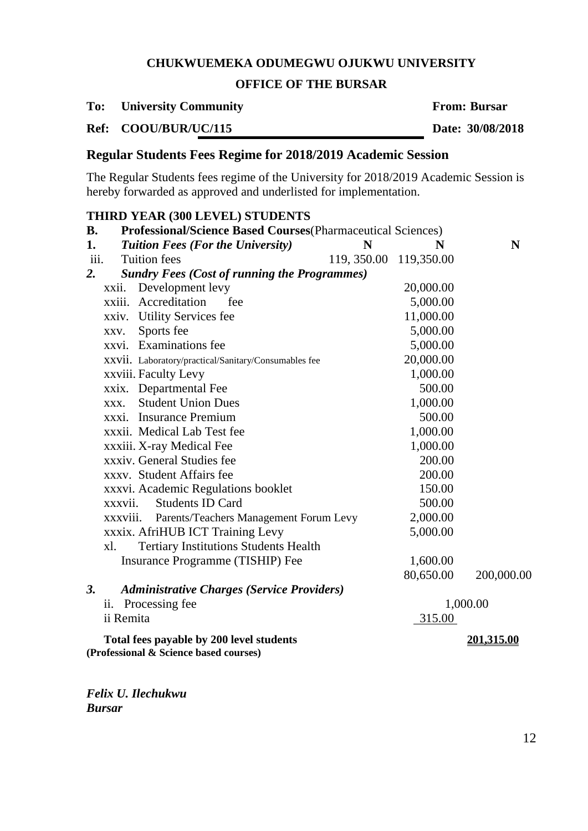## **OFFICE OF THE BURSAR**

| To: |  | <b>University Community</b> |  |
|-----|--|-----------------------------|--|
|     |  |                             |  |

**From: Bursar** 

**Ref: COOU/BUR/UC/115 Date: 30/08/2018**

# **Regular Students Fees Regime for 2018/2019 Academic Session**

The Regular Students fees regime of the University for 2018/2019 Academic Session is hereby forwarded as approved and underlisted for implementation.

## **THIRD YEAR (300 LEVEL) STUDENTS**

| <b>B.</b>     | <b>Professional/Science Based Courses</b> (Pharmaceutical Sciences)                |                         |           |            |  |
|---------------|------------------------------------------------------------------------------------|-------------------------|-----------|------------|--|
| 1.            | <b>Tuition Fees (For the University)</b>                                           | N                       | N         | N          |  |
| iii.          | <b>Tuition fees</b>                                                                | 119, 350.00 119, 350.00 |           |            |  |
| 2.            | <b>Sundry Fees (Cost of running the Programmes)</b>                                |                         |           |            |  |
|               | Development levy<br>xxii.                                                          |                         | 20,000.00 |            |  |
|               | xxiii. Accreditation<br>fee                                                        |                         | 5,000.00  |            |  |
|               | xxiv. Utility Services fee                                                         |                         | 11,000.00 |            |  |
|               | Sports fee<br>XXV.                                                                 |                         | 5,000.00  |            |  |
|               | xxvi. Examinations fee                                                             |                         | 5,000.00  |            |  |
|               | XXVII. Laboratory/practical/Sanitary/Consumables fee                               |                         | 20,000.00 |            |  |
|               | xxviii. Faculty Levy                                                               |                         | 1,000.00  |            |  |
|               | xxix. Departmental Fee                                                             |                         | 500.00    |            |  |
|               | <b>Student Union Dues</b><br>XXX.                                                  |                         | 1,000.00  |            |  |
|               | xxxi. Insurance Premium                                                            |                         | 500.00    |            |  |
|               | xxxii. Medical Lab Test fee                                                        |                         | 1,000.00  |            |  |
|               | xxxiii. X-ray Medical Fee                                                          |                         | 1,000.00  |            |  |
|               | xxxiv. General Studies fee                                                         |                         | 200.00    |            |  |
|               | xxxv. Student Affairs fee                                                          |                         | 200.00    |            |  |
|               | xxxvi. Academic Regulations booklet                                                |                         | 150.00    |            |  |
|               | <b>Students ID Card</b><br>xxxvii.                                                 |                         | 500.00    |            |  |
|               | xxxviii. Parents/Teachers Management Forum Levy                                    |                         | 2,000.00  |            |  |
|               | xxxix. AfriHUB ICT Training Levy                                                   |                         | 5,000.00  |            |  |
|               | <b>Tertiary Institutions Students Health</b><br>xl.                                |                         |           |            |  |
|               | Insurance Programme (TISHIP) Fee                                                   |                         | 1,600.00  |            |  |
|               |                                                                                    |                         | 80,650.00 | 200,000.00 |  |
| <sup>3.</sup> | <b>Administrative Charges (Service Providers)</b>                                  |                         |           |            |  |
|               | ii. Processing fee                                                                 |                         |           | 1,000.00   |  |
|               | ii Remita                                                                          |                         | 315.00    |            |  |
|               | Total fees payable by 200 level students<br>(Professional & Science based courses) |                         |           | 201,315.00 |  |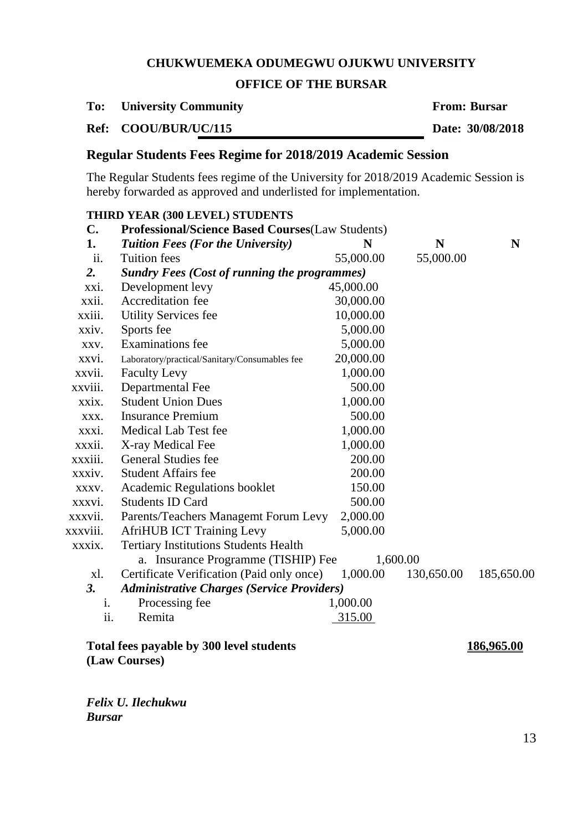# **OFFICE OF THE BURSAR**

| To: | <b>University Community</b> |
|-----|-----------------------------|
|     |                             |

**From: Bursar** 

**Ref: COOU/BUR/UC/115 Date: 30/08/2018**

# **Regular Students Fees Regime for 2018/2019 Academic Session**

The Regular Students fees regime of the University for 2018/2019 Academic Session is hereby forwarded as approved and underlisted for implementation.

|                | THIRD YEAR (300 LEVEL) STUDENTS                         |           |            |                            |
|----------------|---------------------------------------------------------|-----------|------------|----------------------------|
| $\mathbf{C}$ . | <b>Professional/Science Based Courses(Law Students)</b> |           |            |                            |
| 1.             | <b>Tuition Fees (For the University)</b>                | N         | N          | N                          |
| ii.            | <b>Tuition</b> fees                                     | 55,000.00 | 55,000.00  |                            |
| 2.             | <b>Sundry Fees (Cost of running the programmes)</b>     |           |            |                            |
| xxi.           | Development levy                                        | 45,000.00 |            |                            |
| xxii.          | Accreditation fee                                       | 30,000.00 |            |                            |
| xxiii.         | <b>Utility Services fee</b>                             | 10,000.00 |            |                            |
| xxiv.          | Sports fee                                              | 5,000.00  |            |                            |
| XXV.           | <b>Examinations</b> fee                                 | 5,000.00  |            |                            |
| xxvi.          | Laboratory/practical/Sanitary/Consumables fee           | 20,000.00 |            |                            |
| xxvii.         | <b>Faculty Levy</b>                                     | 1,000.00  |            |                            |
| xxviii.        | Departmental Fee                                        | 500.00    |            |                            |
| xxix.          | <b>Student Union Dues</b>                               | 1,000.00  |            |                            |
| XXX.           | <b>Insurance Premium</b>                                | 500.00    |            |                            |
| xxxi.          | Medical Lab Test fee                                    | 1,000.00  |            |                            |
| xxxii.         | X-ray Medical Fee                                       | 1,000.00  |            |                            |
| xxxiii.        | <b>General Studies fee</b>                              | 200.00    |            |                            |
| xxxiv.         | <b>Student Affairs fee</b>                              | 200.00    |            |                            |
| XXXV.          | <b>Academic Regulations booklet</b>                     | 150.00    |            |                            |
| xxxvi.         | <b>Students ID Card</b>                                 | 500.00    |            |                            |
| xxxvii.        | Parents/Teachers Managemt Forum Levy                    | 2,000.00  |            |                            |
| xxxviii.       | <b>AfriHUB ICT Training Levy</b>                        | 5,000.00  |            |                            |
| xxxix.         | <b>Tertiary Institutions Students Health</b>            |           |            |                            |
|                | a. Insurance Programme (TISHIP) Fee                     | 1,600.00  |            |                            |
| xl.            | Certificate Verification (Paid only once)               | 1,000.00  | 130,650.00 | 185,650.00                 |
| 3.             | <b>Administrative Charges (Service Providers)</b>       |           |            |                            |
| i.             | Processing fee                                          | 1,000.00  |            |                            |
| ii.            | Remita                                                  | 315.00    |            |                            |
|                | Total fees nouable by 200 level students                |           |            | 10 <i>c</i> a <i>ce</i> aa |

# **Total fees payable by 300 level students 186,965.00**

**(Law Courses)**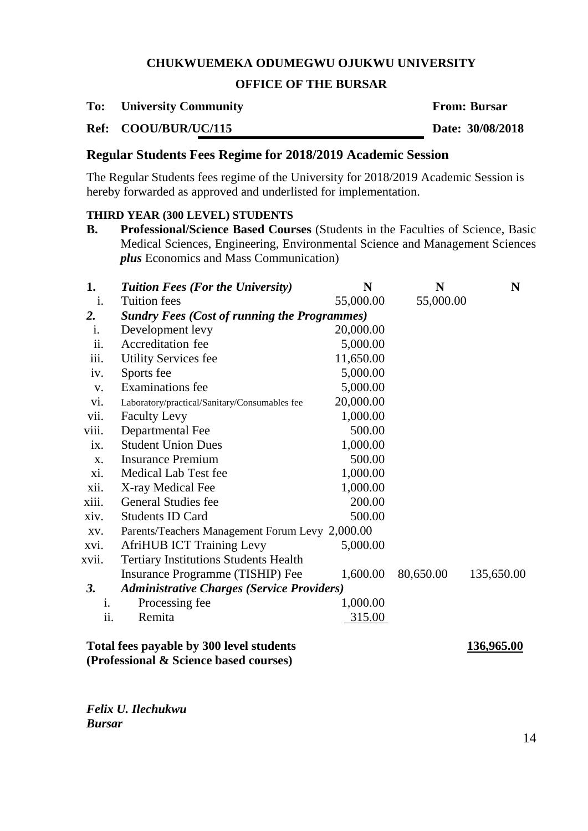## **OFFICE OF THE BURSAR**

**To: University Community From: Bursar**

**Ref: COOU/BUR/UC/115 Date: 30/08/2018**

# **Regular Students Fees Regime for 2018/2019 Academic Session**

The Regular Students fees regime of the University for 2018/2019 Academic Session is hereby forwarded as approved and underlisted for implementation.

## **THIRD YEAR (300 LEVEL) STUDENTS**

**B. Professional/Science Based Courses** (Students in the Faculties of Science, Basic Medical Sciences, Engineering, Environmental Science and Management Sciences *plus* Economics and Mass Communication)

| 1.             | <b>Tuition Fees (For the University)</b>            | N         | N         | N          |
|----------------|-----------------------------------------------------|-----------|-----------|------------|
| i.             | <b>Tuition fees</b>                                 | 55,000.00 | 55,000.00 |            |
| 2.             | <b>Sundry Fees (Cost of running the Programmes)</b> |           |           |            |
| i.             | Development levy                                    | 20,000.00 |           |            |
| ii.            | Accreditation fee                                   | 5,000.00  |           |            |
| iii.           | <b>Utility Services fee</b>                         | 11,650.00 |           |            |
| iv.            | Sports fee                                          | 5,000.00  |           |            |
| V.             | <b>Examinations</b> fee                             | 5,000.00  |           |            |
| vi.            | Laboratory/practical/Sanitary/Consumables fee       | 20,000.00 |           |            |
| vii.           | <b>Faculty Levy</b>                                 | 1,000.00  |           |            |
| viii.          | Departmental Fee                                    | 500.00    |           |            |
| ix.            | <b>Student Union Dues</b>                           | 1,000.00  |           |            |
| X.             | <b>Insurance Premium</b>                            | 500.00    |           |            |
| xi.            | Medical Lab Test fee                                | 1,000.00  |           |            |
| xii.           | X-ray Medical Fee                                   | 1,000.00  |           |            |
| xiii.          | <b>General Studies fee</b>                          | 200.00    |           |            |
| xiv.           | <b>Students ID Card</b>                             | 500.00    |           |            |
| XV.            | Parents/Teachers Management Forum Levy 2,000.00     |           |           |            |
| xvi.           | <b>AfriHUB ICT Training Levy</b>                    | 5,000.00  |           |            |
| xvii.          | <b>Tertiary Institutions Students Health</b>        |           |           |            |
|                | Insurance Programme (TISHIP) Fee                    | 1,600.00  | 80,650.00 | 135,650.00 |
| <b>3.</b>      | <b>Administrative Charges (Service Providers)</b>   |           |           |            |
| $\mathbf{1}$ . | Processing fee                                      | 1,000.00  |           |            |
| ii.            | Remita                                              | 315.00    |           |            |
|                |                                                     |           |           |            |

## **Total fees payable by 300 level students 136,965.00 (Professional & Science based courses)**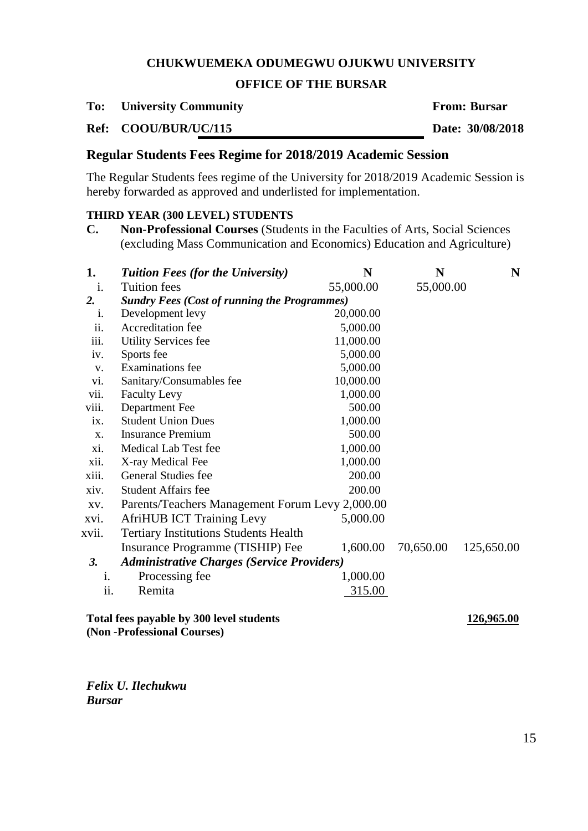## **OFFICE OF THE BURSAR**

**To: University Community From: Bursar**

**Ref: COOU/BUR/UC/115 Date: 30/08/2018**

# **Regular Students Fees Regime for 2018/2019 Academic Session**

The Regular Students fees regime of the University for 2018/2019 Academic Session is hereby forwarded as approved and underlisted for implementation.

# **THIRD YEAR (300 LEVEL) STUDENTS**

**C. Non-Professional Courses** (Students in the Faculties of Arts, Social Sciences (excluding Mass Communication and Economics) Education and Agriculture)

| 1.    | <b>Tuition Fees (for the University)</b>               | N         | N         | N          |  |  |
|-------|--------------------------------------------------------|-----------|-----------|------------|--|--|
| i.    | <b>Tuition fees</b>                                    | 55,000.00 | 55,000.00 |            |  |  |
| 2.    | <b>Sundry Fees (Cost of running the Programmes)</b>    |           |           |            |  |  |
| i.    | Development levy                                       | 20,000.00 |           |            |  |  |
| ii.   | Accreditation fee                                      | 5,000.00  |           |            |  |  |
| iii.  | <b>Utility Services fee</b>                            | 11,000.00 |           |            |  |  |
| iv.   | Sports fee                                             | 5,000.00  |           |            |  |  |
| V.    | Examinations fee                                       | 5,000.00  |           |            |  |  |
| vi.   | Sanitary/Consumables fee                               | 10,000.00 |           |            |  |  |
| vii.  | <b>Faculty Levy</b>                                    | 1,000.00  |           |            |  |  |
| viii. | Department Fee                                         | 500.00    |           |            |  |  |
| ix.   | <b>Student Union Dues</b>                              | 1,000.00  |           |            |  |  |
| X.    | <b>Insurance Premium</b>                               | 500.00    |           |            |  |  |
| xi.   | Medical Lab Test fee                                   | 1,000.00  |           |            |  |  |
| xii.  | X-ray Medical Fee                                      | 1,000.00  |           |            |  |  |
| xiii. | General Studies fee                                    | 200.00    |           |            |  |  |
| xiv.  | <b>Student Affairs fee</b>                             | 200.00    |           |            |  |  |
| XV.   | Parents/Teachers Management Forum Levy 2,000.00        |           |           |            |  |  |
| xvi.  | <b>AfriHUB ICT Training Levy</b>                       | 5,000.00  |           |            |  |  |
| xvii. | <b>Tertiary Institutions Students Health</b>           |           |           |            |  |  |
|       | Insurance Programme (TISHIP) Fee                       | 1,600.00  | 70,650.00 | 125,650.00 |  |  |
| 3.    | <b>Administrative Charges (Service Providers)</b>      |           |           |            |  |  |
| i.    | Processing fee                                         | 1,000.00  |           |            |  |  |
| ii.   | Remita                                                 | 315.00    |           |            |  |  |
|       | Total fees payable by 300 level students<br>126,965.00 |           |           |            |  |  |

**(Non -Professional Courses)**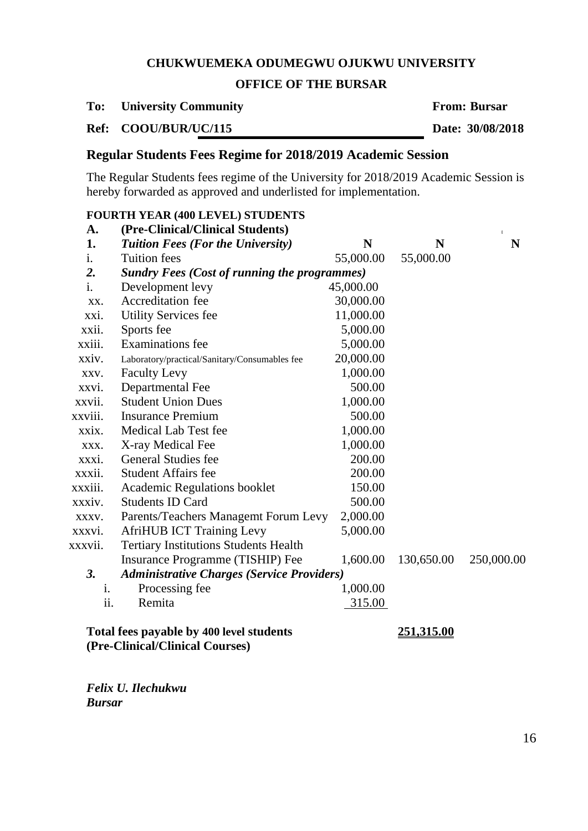## **OFFICE OF THE BURSAR**

#### **To: University Community From: Bursar**

**Ref: COOU/BUR/UC/115 Date: 30/08/2018**

# **Regular Students Fees Regime for 2018/2019 Academic Session**

The Regular Students fees regime of the University for 2018/2019 Academic Session is hereby forwarded as approved and underlisted for implementation.

# **FOURTH YEAR (400 LEVEL) STUDENTS**

| A.             | (Pre-Clinical/Clinical Students)                                            |           |                   | $\mathbb{I}$ |
|----------------|-----------------------------------------------------------------------------|-----------|-------------------|--------------|
| 1.             | <b>Tuition Fees (For the University)</b>                                    | N         | N                 | N            |
| $\mathbf{1}$ . | <b>Tuition</b> fees                                                         | 55,000.00 | 55,000.00         |              |
| 2.             | <b>Sundry Fees (Cost of running the programmes)</b>                         |           |                   |              |
| i.             | Development levy                                                            | 45,000.00 |                   |              |
| XX.            | Accreditation fee                                                           | 30,000.00 |                   |              |
| xxi.           | <b>Utility Services fee</b>                                                 | 11,000.00 |                   |              |
| xxii.          | Sports fee                                                                  | 5,000.00  |                   |              |
| xxiii.         | <b>Examinations</b> fee                                                     | 5,000.00  |                   |              |
| xxiv.          | Laboratory/practical/Sanitary/Consumables fee                               | 20,000.00 |                   |              |
| XXV.           | <b>Faculty Levy</b>                                                         | 1,000.00  |                   |              |
| xxvi.          | Departmental Fee                                                            | 500.00    |                   |              |
| xxvii.         | <b>Student Union Dues</b>                                                   | 1,000.00  |                   |              |
| xxviii.        | <b>Insurance Premium</b>                                                    | 500.00    |                   |              |
| xxix.          | Medical Lab Test fee                                                        | 1,000.00  |                   |              |
| XXX.           | X-ray Medical Fee                                                           | 1,000.00  |                   |              |
| XXX1.          | <b>General Studies fee</b>                                                  | 200.00    |                   |              |
| xxxii.         | <b>Student Affairs fee</b>                                                  | 200.00    |                   |              |
| xxxiii.        | Academic Regulations booklet                                                | 150.00    |                   |              |
| xxxiv.         | <b>Students ID Card</b>                                                     | 500.00    |                   |              |
| XXXV.          | Parents/Teachers Managemt Forum Levy                                        | 2,000.00  |                   |              |
| xxxvi.         | <b>AfriHUB ICT Training Levy</b>                                            | 5,000.00  |                   |              |
| xxxvii.        | <b>Tertiary Institutions Students Health</b>                                |           |                   |              |
|                | Insurance Programme (TISHIP) Fee                                            | 1,600.00  | 130,650.00        | 250,000.00   |
| 3.             | <b>Administrative Charges (Service Providers)</b>                           |           |                   |              |
| i.             | Processing fee                                                              | 1,000.00  |                   |              |
| ii.            | Remita                                                                      | 315.00    |                   |              |
|                | Total fees payable by 400 level students<br>(Pre-Clinical/Clinical Courses) |           | <u>251,315.00</u> |              |
|                |                                                                             |           |                   |              |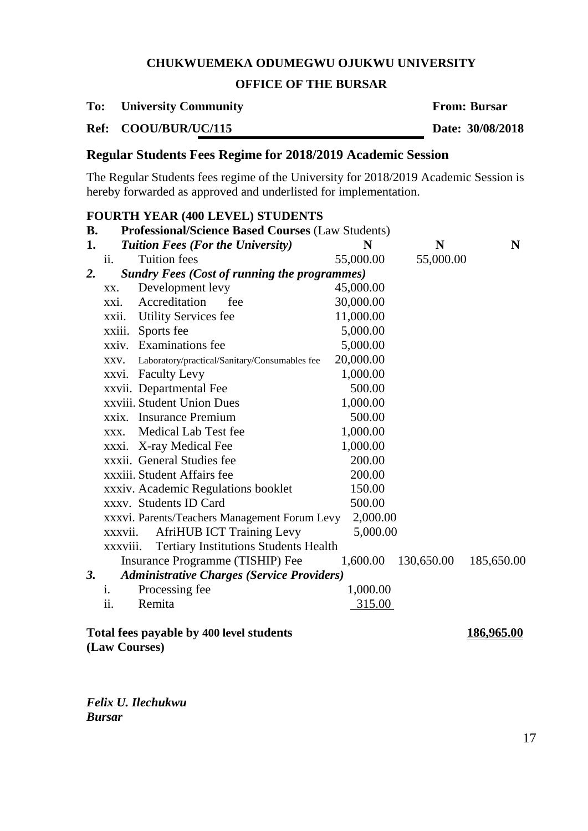## **OFFICE OF THE BURSAR**

**To: University Community From: Bursar**

**Ref: COOU/BUR/UC/115 Date: 30/08/2018**

# **Regular Students Fees Regime for 2018/2019 Academic Session**

The Regular Students fees regime of the University for 2018/2019 Academic Session is hereby forwarded as approved and underlisted for implementation.

# **FOURTH YEAR (400 LEVEL) STUDENTS**

| <b>B.</b> |          | <b>Professional/Science Based Courses (Law Students)</b> |           |            |            |
|-----------|----------|----------------------------------------------------------|-----------|------------|------------|
| 1.        |          | <b>Tuition Fees (For the University)</b>                 | N         | N          | N          |
|           | ii.      | <b>Tuition</b> fees                                      | 55,000.00 | 55,000.00  |            |
| 2.        |          | <b>Sundry Fees (Cost of running the programmes)</b>      |           |            |            |
|           | XX.      | Development levy                                         | 45,000.00 |            |            |
|           | XXI.     | Accreditation<br>fee                                     | 30,000.00 |            |            |
|           | xxii.    | <b>Utility Services fee</b>                              | 11,000.00 |            |            |
|           | xxiii.   | Sports fee                                               | 5,000.00  |            |            |
|           |          | xxiv. Examinations fee                                   | 5,000.00  |            |            |
|           | XXV.     | Laboratory/practical/Sanitary/Consumables fee            | 20,000.00 |            |            |
|           | xxvi.    | <b>Faculty Levy</b>                                      | 1,000.00  |            |            |
|           |          | xxvii. Departmental Fee                                  | 500.00    |            |            |
|           |          | xxviii. Student Union Dues                               | 1,000.00  |            |            |
|           |          | xxix. Insurance Premium                                  | 500.00    |            |            |
|           | XXX.     | Medical Lab Test fee                                     | 1,000.00  |            |            |
|           | xxxi.    | X-ray Medical Fee                                        | 1,000.00  |            |            |
|           |          | xxxii. General Studies fee                               | 200.00    |            |            |
|           |          | xxxiii. Student Affairs fee                              | 200.00    |            |            |
|           |          | xxxiv. Academic Regulations booklet                      | 150.00    |            |            |
|           |          | xxxv. Students ID Card                                   | 500.00    |            |            |
|           |          | xxxvi. Parents/Teachers Management Forum Levy            | 2,000.00  |            |            |
|           | xxxvii.  | <b>AfriHUB ICT Training Levy</b>                         | 5,000.00  |            |            |
|           | xxxviii. | <b>Tertiary Institutions Students Health</b>             |           |            |            |
|           |          | Insurance Programme (TISHIP) Fee                         | 1,600.00  | 130,650.00 | 185,650.00 |
| 3.        |          | <b>Administrative Charges (Service Providers)</b>        |           |            |            |
|           | i.       | Processing fee                                           | 1,000.00  |            |            |
|           | ii.      | Remita                                                   | 315.00    |            |            |
|           |          | Total fees payable by 400 level students                 |           |            | 186,965.00 |

**(Law Courses)**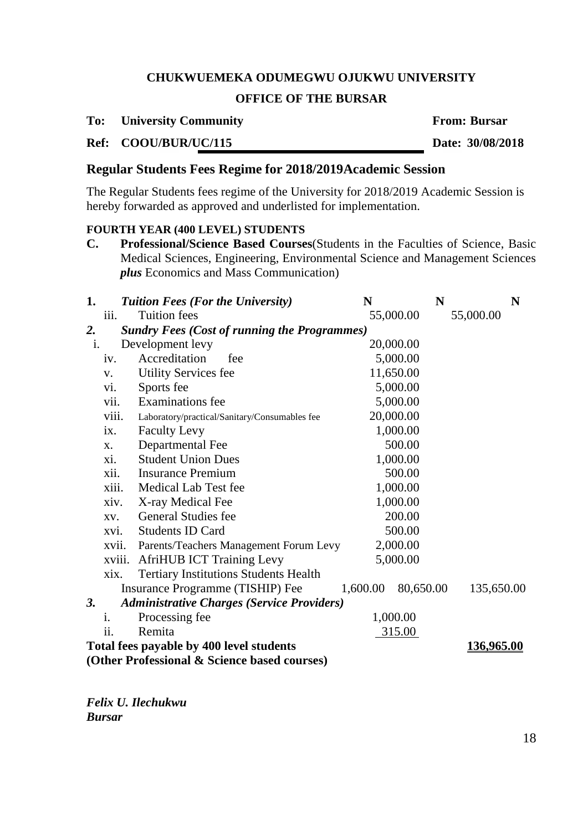# **OFFICE OF THE BURSAR**

#### **To: University Community From: Bursar**

## **Ref: COOU/BUR/UC/115 Date: 30/08/2018**

# **Regular Students Fees Regime for 2018/2019Academic Session**

The Regular Students fees regime of the University for 2018/2019 Academic Session is hereby forwarded as approved and underlisted for implementation.

#### **FOURTH YEAR (400 LEVEL) STUDENTS**

**C. Professional/Science Based Courses**(Students in the Faculties of Science, Basic Medical Sciences, Engineering, Environmental Science and Management Sciences *plus* Economics and Mass Communication)

| 1.        |                                                               | <b>Tuition Fees (For the University)</b>            | N         | N         | N          |  |
|-----------|---------------------------------------------------------------|-----------------------------------------------------|-----------|-----------|------------|--|
|           | 111.                                                          | <b>Tuition fees</b>                                 | 55,000.00 |           | 55,000.00  |  |
| 2.        |                                                               | <b>Sundry Fees (Cost of running the Programmes)</b> |           |           |            |  |
| i.        |                                                               | Development levy                                    | 20,000.00 |           |            |  |
|           | iv.                                                           | Accreditation<br>fee                                | 5,000.00  |           |            |  |
|           | V.                                                            | <b>Utility Services fee</b>                         | 11,650.00 |           |            |  |
|           | vi.                                                           | Sports fee                                          | 5,000.00  |           |            |  |
|           | vii.                                                          | <b>Examinations</b> fee                             | 5,000.00  |           |            |  |
|           | viii.                                                         | Laboratory/practical/Sanitary/Consumables fee       | 20,000.00 |           |            |  |
|           | ix.                                                           | <b>Faculty Levy</b>                                 | 1,000.00  |           |            |  |
|           | X.                                                            | Departmental Fee                                    | 500.00    |           |            |  |
|           | X1.                                                           | <b>Student Union Dues</b>                           | 1,000.00  |           |            |  |
|           | xii.                                                          | <b>Insurance Premium</b>                            | 500.00    |           |            |  |
|           | xiii.                                                         | Medical Lab Test fee                                | 1,000.00  |           |            |  |
|           | xiv.                                                          | X-ray Medical Fee                                   | 1,000.00  |           |            |  |
|           | XV.                                                           | General Studies fee                                 | 200.00    |           |            |  |
|           | XVI.                                                          | <b>Students ID Card</b>                             | 500.00    |           |            |  |
|           | xvii.                                                         | Parents/Teachers Management Forum Levy              | 2,000.00  |           |            |  |
|           | xviii.                                                        | <b>AfriHUB ICT Training Levy</b>                    | 5,000.00  |           |            |  |
|           | xix.                                                          | <b>Tertiary Institutions Students Health</b>        |           |           |            |  |
|           |                                                               | Insurance Programme (TISHIP) Fee                    | 1,600.00  | 80,650.00 | 135,650.00 |  |
| <b>3.</b> |                                                               | <b>Administrative Charges (Service Providers)</b>   |           |           |            |  |
|           | 1.                                                            | Processing fee                                      | 1,000.00  |           |            |  |
|           | ii.                                                           | Remita                                              | 315.00    |           |            |  |
|           | Total fees payable by 400 level students<br><u>136,965.00</u> |                                                     |           |           |            |  |
|           |                                                               | (Other Professional & Science based courses)        |           |           |            |  |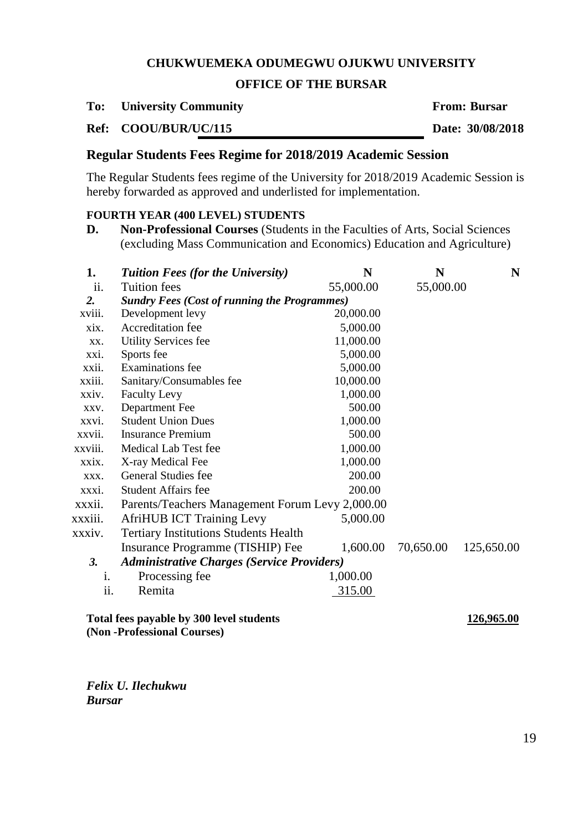## **OFFICE OF THE BURSAR**

**To: University Community From: Bursar**

**Ref: COOU/BUR/UC/115 Date: 30/08/2018**

# **Regular Students Fees Regime for 2018/2019 Academic Session**

The Regular Students fees regime of the University for 2018/2019 Academic Session is hereby forwarded as approved and underlisted for implementation.

### **FOURTH YEAR (400 LEVEL) STUDENTS**

**D. Non-Professional Courses** (Students in the Faculties of Arts, Social Sciences (excluding Mass Communication and Economics) Education and Agriculture)

| 1.      | <b>Tuition Fees (for the University)</b>            | N         | N         | N          |  |
|---------|-----------------------------------------------------|-----------|-----------|------------|--|
| ii.     | <b>Tuition fees</b>                                 | 55,000.00 | 55,000.00 |            |  |
| 2.      | <b>Sundry Fees (Cost of running the Programmes)</b> |           |           |            |  |
| xviii.  | Development levy                                    | 20,000.00 |           |            |  |
| xix.    | Accreditation fee                                   | 5,000.00  |           |            |  |
| XX.     | <b>Utility Services fee</b>                         | 11,000.00 |           |            |  |
| xxi.    | Sports fee                                          | 5,000.00  |           |            |  |
| xxii.   | <b>Examinations</b> fee                             | 5,000.00  |           |            |  |
| xxiii.  | Sanitary/Consumables fee                            | 10,000.00 |           |            |  |
| xxiv.   | <b>Faculty Levy</b>                                 | 1,000.00  |           |            |  |
| XXV.    | Department Fee                                      | 500.00    |           |            |  |
| xxvi.   | <b>Student Union Dues</b>                           | 1,000.00  |           |            |  |
| xxvii.  | <b>Insurance Premium</b>                            | 500.00    |           |            |  |
| xxviii. | Medical Lab Test fee                                | 1,000.00  |           |            |  |
| xxix.   | X-ray Medical Fee                                   | 1,000.00  |           |            |  |
| XXX.    | General Studies fee                                 | 200.00    |           |            |  |
| xxxi.   | <b>Student Affairs fee</b>                          | 200.00    |           |            |  |
| xxxii.  | Parents/Teachers Management Forum Levy 2,000.00     |           |           |            |  |
| xxxiii. | <b>AfriHUB ICT Training Levy</b>                    | 5,000.00  |           |            |  |
| xxxiv.  | <b>Tertiary Institutions Students Health</b>        |           |           |            |  |
|         | Insurance Programme (TISHIP) Fee                    | 1,600.00  | 70,650.00 | 125,650.00 |  |
| 3.      | <b>Administrative Charges (Service Providers)</b>   |           |           |            |  |
| i.      | Processing fee                                      | 1,000.00  |           |            |  |
| ii.     | Remita                                              | 315.00    |           |            |  |
|         |                                                     |           |           |            |  |

**Total fees payable by 300 level students 126,965.00 (Non -Professional Courses)**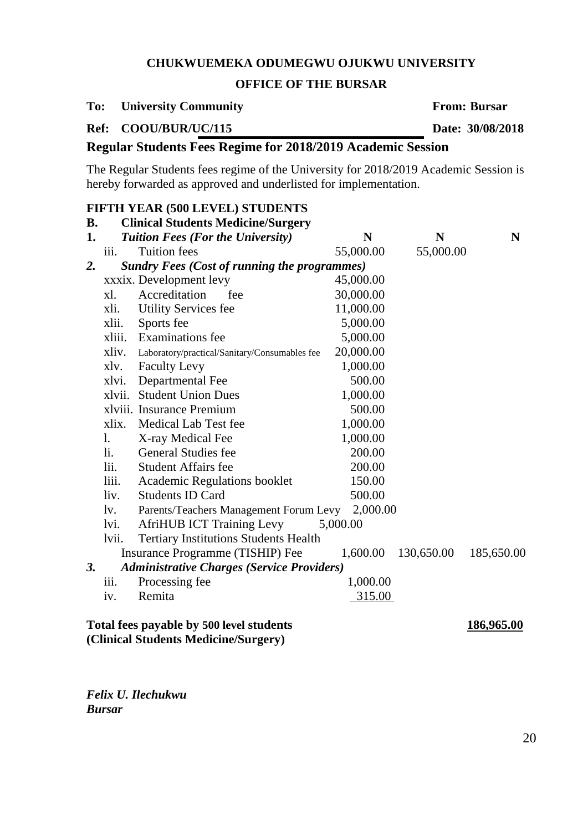## **OFFICE OF THE BURSAR**

**To: University Community From: Bursar**

**Ref: COOU/BUR/UC/115 Date: 30/08/2018**

# **Regular Students Fees Regime for 2018/2019 Academic Session**

The Regular Students fees regime of the University for 2018/2019 Academic Session is hereby forwarded as approved and underlisted for implementation.

## **FIFTH YEAR (500 LEVEL) STUDENTS**

| <b>B.</b> |                                                        | <b>Clinical Students Medicine/Surgery</b>           |           |            |            |  |  |
|-----------|--------------------------------------------------------|-----------------------------------------------------|-----------|------------|------------|--|--|
| 1.        |                                                        | <b>Tuition Fees (For the University)</b>            | N         | N          | N          |  |  |
|           | iii.                                                   | <b>Tuition</b> fees                                 | 55,000.00 | 55,000.00  |            |  |  |
| 2.        |                                                        | <b>Sundry Fees (Cost of running the programmes)</b> |           |            |            |  |  |
|           |                                                        | xxxix. Development levy                             | 45,000.00 |            |            |  |  |
|           | xl.                                                    | Accreditation<br>fee                                | 30,000.00 |            |            |  |  |
|           | xli.                                                   | <b>Utility Services fee</b>                         | 11,000.00 |            |            |  |  |
|           | xlii.                                                  | Sports fee                                          | 5,000.00  |            |            |  |  |
|           | xliii.                                                 | <b>Examinations</b> fee                             | 5,000.00  |            |            |  |  |
|           | xliv.                                                  | Laboratory/practical/Sanitary/Consumables fee       | 20,000.00 |            |            |  |  |
|           | xlv.                                                   | <b>Faculty Levy</b>                                 | 1,000.00  |            |            |  |  |
|           | xlvi.                                                  | Departmental Fee                                    | 500.00    |            |            |  |  |
|           | xlvii.                                                 | <b>Student Union Dues</b>                           | 1,000.00  |            |            |  |  |
|           |                                                        | xlviii. Insurance Premium                           | 500.00    |            |            |  |  |
|           | xlix.                                                  | Medical Lab Test fee                                | 1,000.00  |            |            |  |  |
|           | 1.                                                     | X-ray Medical Fee                                   | 1,000.00  |            |            |  |  |
|           | li.                                                    | <b>General Studies fee</b>                          | 200.00    |            |            |  |  |
|           | lii.                                                   | <b>Student Affairs fee</b>                          | 200.00    |            |            |  |  |
|           | liii.                                                  | Academic Regulations booklet                        | 150.00    |            |            |  |  |
|           | liv.                                                   | <b>Students ID Card</b>                             | 500.00    |            |            |  |  |
|           | $\mathbf{I}$ v.                                        | Parents/Teachers Management Forum Levy              | 2,000.00  |            |            |  |  |
|           | lvi.                                                   | <b>AfriHUB ICT Training Levy</b>                    | 5,000.00  |            |            |  |  |
|           | lvii.                                                  | <b>Tertiary Institutions Students Health</b>        |           |            |            |  |  |
|           |                                                        | Insurance Programme (TISHIP) Fee                    | 1,600.00  | 130,650.00 | 185,650.00 |  |  |
| 3.        |                                                        | <b>Administrative Charges (Service Providers)</b>   |           |            |            |  |  |
|           | iii.                                                   | Processing fee                                      | 1,000.00  |            |            |  |  |
|           | iv.                                                    | Remita                                              | 315.00    |            |            |  |  |
|           | Total fees payable by 500 level students<br>186,965.00 |                                                     |           |            |            |  |  |

**(Clinical Students Medicine/Surgery)**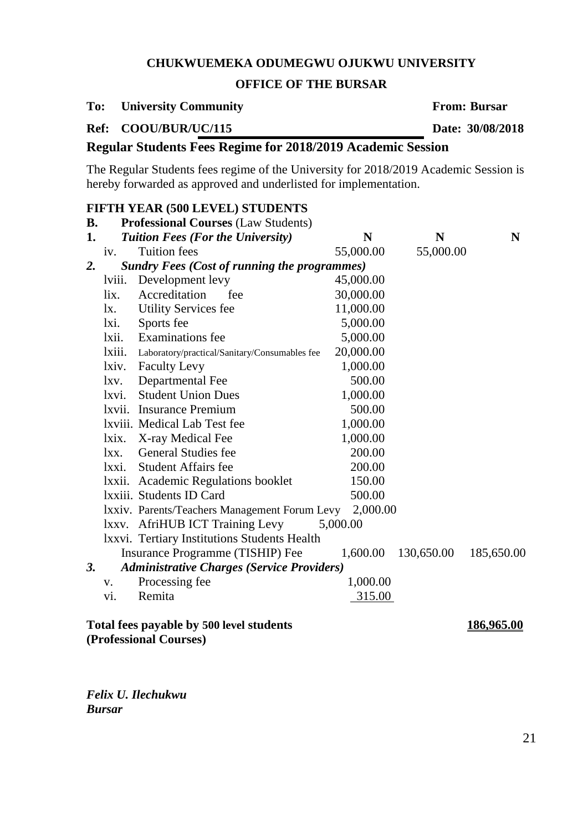## **OFFICE OF THE BURSAR**

#### **To: University Community From: Bursar**

**Ref: COOU/BUR/UC/115 Date: 30/08/2018**

# **Regular Students Fees Regime for 2018/2019 Academic Session**

The Regular Students fees regime of the University for 2018/2019 Academic Session is hereby forwarded as approved and underlisted for implementation.

## **FIFTH YEAR (500 LEVEL) STUDENTS**

| <b>B.</b> |                                                               | <b>Professional Courses (Law Students)</b>          |           |            |            |  |  |
|-----------|---------------------------------------------------------------|-----------------------------------------------------|-----------|------------|------------|--|--|
| 1.        |                                                               | <b>Tuition Fees (For the University)</b>            | N         | N          | N          |  |  |
|           | iv.                                                           | <b>Tuition</b> fees                                 | 55,000.00 | 55,000.00  |            |  |  |
| 2.        |                                                               | <b>Sundry Fees (Cost of running the programmes)</b> |           |            |            |  |  |
|           | lviii.                                                        | Development levy                                    | 45,000.00 |            |            |  |  |
|           | lix.                                                          | Accreditation<br>fee                                | 30,000.00 |            |            |  |  |
|           | $l_{X}$ .                                                     | <b>Utility Services fee</b>                         | 11,000.00 |            |            |  |  |
|           | lxi.                                                          | Sports fee                                          | 5,000.00  |            |            |  |  |
|           | lxii.                                                         | <b>Examinations</b> fee                             | 5,000.00  |            |            |  |  |
|           | lxiii.                                                        | Laboratory/practical/Sanitary/Consumables fee       | 20,000.00 |            |            |  |  |
|           | lxiv.                                                         | <b>Faculty Levy</b>                                 | 1,000.00  |            |            |  |  |
|           | lxv.                                                          | Departmental Fee                                    | 500.00    |            |            |  |  |
|           | lxvi.                                                         | <b>Student Union Dues</b>                           | 1,000.00  |            |            |  |  |
|           |                                                               | lxvii. Insurance Premium                            | 500.00    |            |            |  |  |
|           |                                                               | Ixviii. Medical Lab Test fee                        | 1,000.00  |            |            |  |  |
|           | lxix.                                                         | X-ray Medical Fee                                   | 1,000.00  |            |            |  |  |
|           | lxx.                                                          | General Studies fee                                 | 200.00    |            |            |  |  |
|           | lxxi.                                                         | <b>Student Affairs fee</b>                          | 200.00    |            |            |  |  |
|           | lxxii.                                                        | <b>Academic Regulations booklet</b>                 | 150.00    |            |            |  |  |
|           |                                                               | Ixxiii. Students ID Card                            | 500.00    |            |            |  |  |
|           |                                                               | Ixxiv. Parents/Teachers Management Forum Levy       | 2,000.00  |            |            |  |  |
|           |                                                               | lxxv. AfriHUB ICT Training Levy                     | 5,000.00  |            |            |  |  |
|           |                                                               | Ixxvi. Tertiary Institutions Students Health        |           |            |            |  |  |
|           |                                                               | Insurance Programme (TISHIP) Fee                    | 1,600.00  | 130,650.00 | 185,650.00 |  |  |
| 3.        |                                                               | <b>Administrative Charges (Service Providers)</b>   |           |            |            |  |  |
|           | V.                                                            | Processing fee                                      | 1,000.00  |            |            |  |  |
|           | vi.                                                           | Remita                                              | 315.00    |            |            |  |  |
|           | Total fees payable by 500 level students<br><u>186,965.00</u> |                                                     |           |            |            |  |  |

**(Professional Courses)**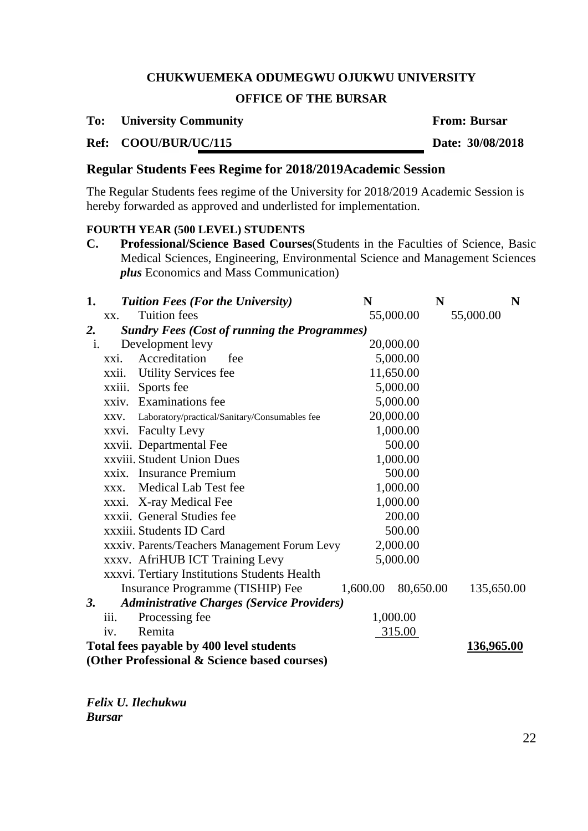# **OFFICE OF THE BURSAR**

#### **To: University Community From: Bursar**

# **Ref: COOU/BUR/UC/115 Date: 30/08/2018**

# **Regular Students Fees Regime for 2018/2019Academic Session**

The Regular Students fees regime of the University for 2018/2019 Academic Session is hereby forwarded as approved and underlisted for implementation.

#### **FOURTH YEAR (500 LEVEL) STUDENTS**

**C. Professional/Science Based Courses**(Students in the Faculties of Science, Basic Medical Sciences, Engineering, Environmental Science and Management Sciences *plus* Economics and Mass Communication)

| 1.             |                                                        | <b>Tuition Fees (For the University)</b>            | N         | N         | N          |  |
|----------------|--------------------------------------------------------|-----------------------------------------------------|-----------|-----------|------------|--|
|                | XX.                                                    | <b>Tuition</b> fees                                 | 55,000.00 |           | 55,000.00  |  |
| 2.             |                                                        | <b>Sundry Fees (Cost of running the Programmes)</b> |           |           |            |  |
| $\mathbf{i}$ . |                                                        | Development levy                                    | 20,000.00 |           |            |  |
|                | xxi.                                                   | Accreditation<br>fee                                | 5,000.00  |           |            |  |
|                | xxii.                                                  | <b>Utility Services fee</b>                         | 11,650.00 |           |            |  |
|                | xxiii.                                                 | Sports fee                                          | 5,000.00  |           |            |  |
|                | xxiv.                                                  | <b>Examinations</b> fee                             | 5,000.00  |           |            |  |
|                | XXV.                                                   | Laboratory/practical/Sanitary/Consumables fee       | 20,000.00 |           |            |  |
|                |                                                        | xxvi. Faculty Levy                                  | 1,000.00  |           |            |  |
|                |                                                        | xxvii. Departmental Fee                             | 500.00    |           |            |  |
|                |                                                        | xxviii. Student Union Dues                          | 1,000.00  |           |            |  |
|                |                                                        | xxix. Insurance Premium                             | 500.00    |           |            |  |
|                | XXX.                                                   | Medical Lab Test fee                                | 1,000.00  |           |            |  |
|                |                                                        | xxxi. X-ray Medical Fee                             | 1,000.00  |           |            |  |
|                |                                                        | xxxii. General Studies fee                          | 200.00    |           |            |  |
|                |                                                        | xxxiii. Students ID Card                            | 500.00    |           |            |  |
|                |                                                        | xxxiv. Parents/Teachers Management Forum Levy       | 2,000.00  |           |            |  |
|                |                                                        | xxxv. AfriHUB ICT Training Levy                     | 5,000.00  |           |            |  |
|                |                                                        | xxxvi. Tertiary Institutions Students Health        |           |           |            |  |
|                |                                                        | Insurance Programme (TISHIP) Fee                    | 1,600.00  | 80,650.00 | 135,650.00 |  |
| <b>3.</b>      |                                                        | <b>Administrative Charges (Service Providers)</b>   |           |           |            |  |
|                | iii.                                                   | Processing fee                                      | 1,000.00  |           |            |  |
|                | iv.                                                    | Remita                                              | 315.00    |           |            |  |
|                | Total fees payable by 400 level students<br>136,965.00 |                                                     |           |           |            |  |
|                |                                                        | (Other Professional & Science based courses)        |           |           |            |  |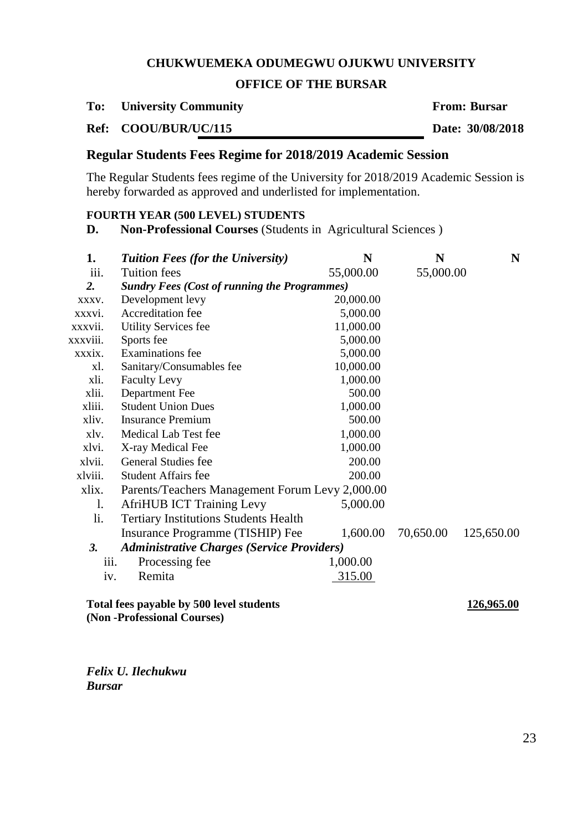# **OFFICE OF THE BURSAR**

**To: University Community From: Bursar**

**Ref: COOU/BUR/UC/115 Date: 30/08/2018**

# **Regular Students Fees Regime for 2018/2019 Academic Session**

The Regular Students fees regime of the University for 2018/2019 Academic Session is hereby forwarded as approved and underlisted for implementation.

# **FOURTH YEAR (500 LEVEL) STUDENTS**

**D. Non-Professional Courses** (Students in Agricultural Sciences )

| 1.       | <b>Tuition Fees (for the University)</b>            | N         | N         | N          |  |
|----------|-----------------------------------------------------|-----------|-----------|------------|--|
| iii.     | <b>Tuition fees</b>                                 | 55,000.00 | 55,000.00 |            |  |
| 2.       | <b>Sundry Fees (Cost of running the Programmes)</b> |           |           |            |  |
| XXXV.    | Development levy                                    | 20,000.00 |           |            |  |
| xxxvi.   | Accreditation fee                                   | 5,000.00  |           |            |  |
| xxxvii.  | <b>Utility Services fee</b>                         | 11,000.00 |           |            |  |
| xxxviii. | Sports fee                                          | 5,000.00  |           |            |  |
| xxxix.   | <b>Examinations</b> fee                             | 5,000.00  |           |            |  |
| xl.      | Sanitary/Consumables fee                            | 10,000.00 |           |            |  |
| xli.     | <b>Faculty Levy</b>                                 | 1,000.00  |           |            |  |
| xlii.    | Department Fee                                      | 500.00    |           |            |  |
| xliii.   | <b>Student Union Dues</b>                           | 1,000.00  |           |            |  |
| xliv.    | <b>Insurance Premium</b>                            | 500.00    |           |            |  |
| xlv.     | Medical Lab Test fee                                | 1,000.00  |           |            |  |
| xlvi.    | X-ray Medical Fee                                   | 1,000.00  |           |            |  |
| xlvii.   | <b>General Studies fee</b>                          | 200.00    |           |            |  |
| xlviii.  | <b>Student Affairs fee</b>                          | 200.00    |           |            |  |
| xlix.    | Parents/Teachers Management Forum Levy 2,000.00     |           |           |            |  |
| 1.       | <b>AfriHUB ICT Training Levy</b>                    | 5,000.00  |           |            |  |
| li.      | <b>Tertiary Institutions Students Health</b>        |           |           |            |  |
|          | Insurance Programme (TISHIP) Fee                    | 1,600.00  | 70,650.00 | 125,650.00 |  |
| 3.       | <b>Administrative Charges (Service Providers)</b>   |           |           |            |  |
| iii.     | Processing fee                                      | 1,000.00  |           |            |  |
| iv.      | Remita                                              | 315.00    |           |            |  |
|          | Total fees payable by 500 level students            |           |           | 126,965.00 |  |

**(Non -Professional Courses)**

*Felix U. Ilechukwu Bursar*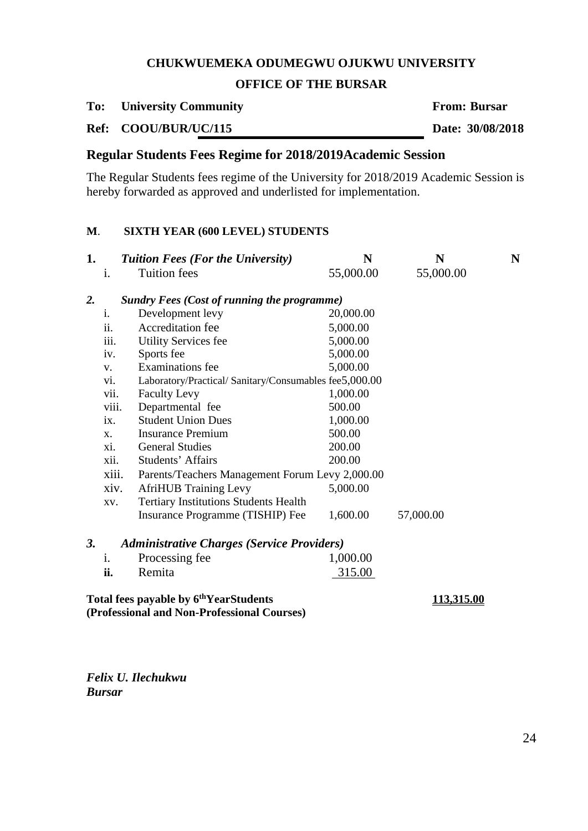## **OFFICE OF THE BURSAR**

**To: University Community From: Bursar**

**Ref: COOU/BUR/UC/115 Date: 30/08/2018**

# **Regular Students Fees Regime for 2018/2019Academic Session**

The Regular Students fees regime of the University for 2018/2019 Academic Session is hereby forwarded as approved and underlisted for implementation.

## **M**. **SIXTH YEAR (600 LEVEL) STUDENTS**

| 1.                                                                                                |                                                               | <b>Tuition Fees (For the University)</b>        | N         | N                 | N |  |
|---------------------------------------------------------------------------------------------------|---------------------------------------------------------------|-------------------------------------------------|-----------|-------------------|---|--|
|                                                                                                   | i.                                                            | <b>Tuition</b> fees                             | 55,000.00 | 55,000.00         |   |  |
| $\overline{2}$ .                                                                                  |                                                               | Sundry Fees (Cost of running the programme)     |           |                   |   |  |
|                                                                                                   | i.                                                            | Development levy                                | 20,000.00 |                   |   |  |
|                                                                                                   | ii.                                                           | Accreditation fee                               | 5,000.00  |                   |   |  |
|                                                                                                   | iii.                                                          | <b>Utility Services fee</b>                     | 5,000.00  |                   |   |  |
|                                                                                                   | iv.                                                           | Sports fee                                      | 5,000.00  |                   |   |  |
|                                                                                                   | V.                                                            | <b>Examinations</b> fee                         | 5,000.00  |                   |   |  |
|                                                                                                   | Laboratory/Practical/ Sanitary/Consumables fee5,000.00<br>vi. |                                                 |           |                   |   |  |
|                                                                                                   | vii.                                                          | <b>Faculty Levy</b>                             | 1,000.00  |                   |   |  |
|                                                                                                   | viii.                                                         | Departmental fee                                | 500.00    |                   |   |  |
|                                                                                                   | $\mathbf{1} \mathbf{X}$ .                                     | <b>Student Union Dues</b>                       | 1,000.00  |                   |   |  |
|                                                                                                   | X.                                                            | <b>Insurance Premium</b>                        | 500.00    |                   |   |  |
|                                                                                                   | xi.                                                           | <b>General Studies</b>                          | 200.00    |                   |   |  |
|                                                                                                   | xii.                                                          | Students' Affairs                               | 200.00    |                   |   |  |
|                                                                                                   | xiii.                                                         | Parents/Teachers Management Forum Levy 2,000.00 |           |                   |   |  |
|                                                                                                   | xiv.                                                          | <b>AfriHUB</b> Training Levy                    | 5,000.00  |                   |   |  |
|                                                                                                   | XV.                                                           | <b>Tertiary Institutions Students Health</b>    |           |                   |   |  |
|                                                                                                   |                                                               | Insurance Programme (TISHIP) Fee                | 1,600.00  | 57,000.00         |   |  |
| 3.                                                                                                | <b>Administrative Charges (Service Providers)</b>             |                                                 |           |                   |   |  |
|                                                                                                   | $\mathbf{1}$ .                                                | Processing fee                                  | 1,000.00  |                   |   |  |
|                                                                                                   | ii.                                                           | Remita                                          | 315.00    |                   |   |  |
| Total fees payable by 6 <sup>th</sup> YearStudents<br>(Professional and Non-Professional Courses) |                                                               |                                                 |           | <u>113,315.00</u> |   |  |

*Felix U. Ilechukwu Bursar*